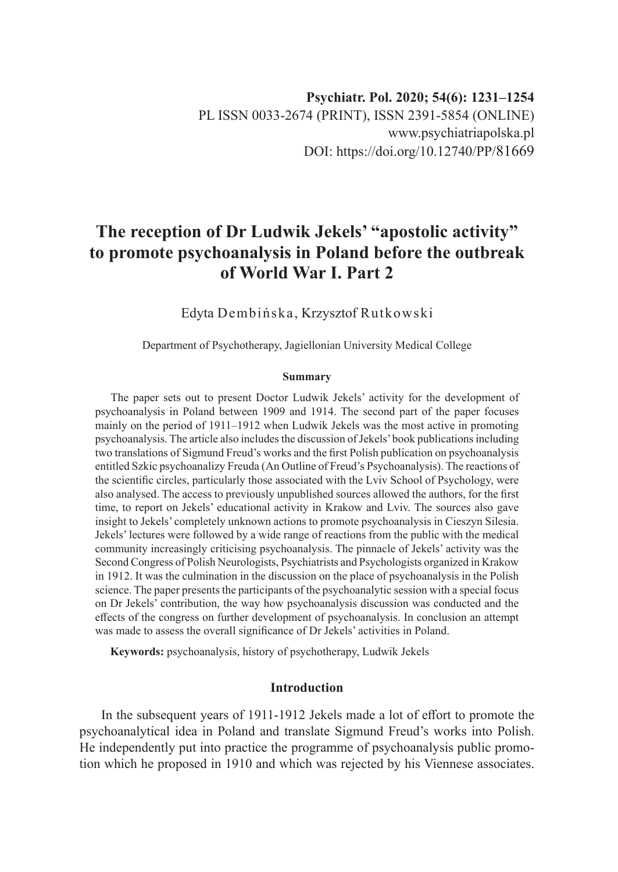# **The reception of Dr Ludwik Jekels' "apostolic activity" to promote psychoanalysis in Poland before the outbreak of World War I. Part 2**

Edyta Dembińska, Krzysztof Rutkowski

Department of Psychotherapy, Jagiellonian University Medical College

#### **Summary**

The paper sets out to present Doctor Ludwik Jekels' activity for the development of psychoanalysis in Poland between 1909 and 1914. The second part of the paper focuses mainly on the period of 1911–1912 when Ludwik Jekels was the most active in promoting psychoanalysis. The article also includes the discussion of Jekels' book publications including two translations of Sigmund Freud's works and the first Polish publication on psychoanalysis entitled Szkic psychoanalizy Freuda (An Outline of Freud's Psychoanalysis). The reactions of the scientific circles, particularly those associated with the Lviv School of Psychology, were also analysed. The access to previously unpublished sources allowed the authors, for the first time, to report on Jekels' educational activity in Krakow and Lviv. The sources also gave insight to Jekels' completely unknown actions to promote psychoanalysis in Cieszyn Silesia. Jekels' lectures were followed by a wide range of reactions from the public with the medical community increasingly criticising psychoanalysis. The pinnacle of Jekels' activity was the Second Congress of Polish Neurologists, Psychiatrists and Psychologists organized in Krakow in 1912. It was the culmination in the discussion on the place of psychoanalysis in the Polish science. The paper presents the participants of the psychoanalytic session with a special focus on Dr Jekels' contribution, the way how psychoanalysis discussion was conducted and the effects of the congress on further development of psychoanalysis. In conclusion an attempt was made to assess the overall significance of Dr Jekels' activities in Poland.

**Keywords:** psychoanalysis, history of psychotherapy, Ludwik Jekels

### **Introduction**

In the subsequent years of 1911-1912 Jekels made a lot of effort to promote the psychoanalytical idea in Poland and translate Sigmund Freud's works into Polish. He independently put into practice the programme of psychoanalysis public promotion which he proposed in 1910 and which was rejected by his Viennese associates.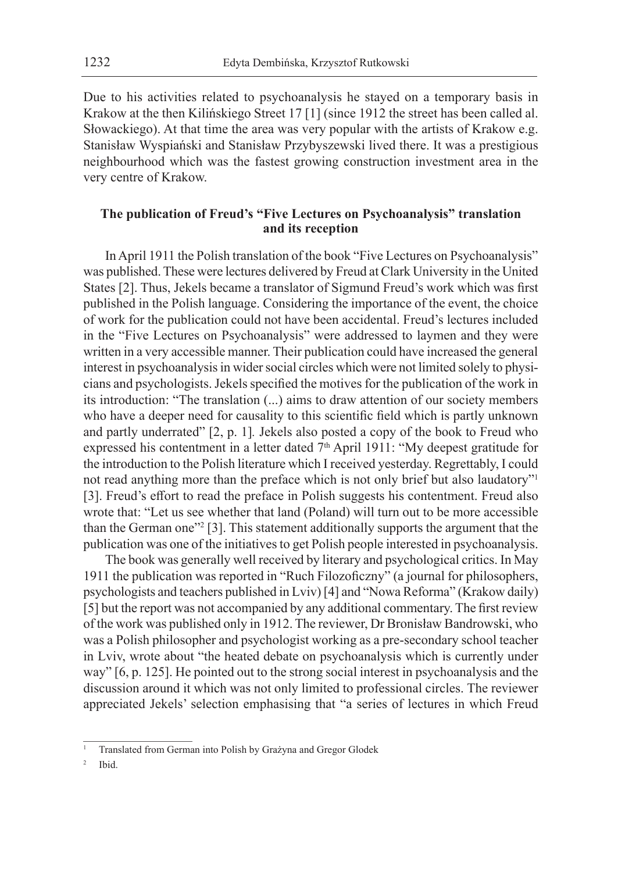Due to his activities related to psychoanalysis he stayed on a temporary basis in Krakow at the then Kilińskiego Street 17 [1] (since 1912 the street has been called al. Słowackiego). At that time the area was very popular with the artists of Krakow e.g. Stanisław Wyspiański and Stanisław Przybyszewski lived there. It was a prestigious neighbourhood which was the fastest growing construction investment area in the very centre of Krakow.

# **The publication of Freud's "Five Lectures on Psychoanalysis" translation and its reception**

In April 1911 the Polish translation of the book "Five Lectures on Psychoanalysis" was published. These were lectures delivered by Freud at Clark University in the United States [2]. Thus, Jekels became a translator of Sigmund Freud's work which was first published in the Polish language. Considering the importance of the event, the choice of work for the publication could not have been accidental. Freud's lectures included in the "Five Lectures on Psychoanalysis" were addressed to laymen and they were written in a very accessible manner. Their publication could have increased the general interest in psychoanalysis in wider social circles which were not limited solely to physicians and psychologists. Jekels specified the motives for the publication of the work in its introduction: "The translation (...) aims to draw attention of our society members who have a deeper need for causality to this scientific field which is partly unknown and partly underrated" [2, p. 1]*.* Jekels also posted a copy of the book to Freud who expressed his contentment in a letter dated 7<sup>th</sup> April 1911: "My deepest gratitude for the introduction to the Polish literature which I received yesterday. Regrettably, I could not read anything more than the preface which is not only brief but also laudatory"<sup>1</sup> [3]. Freud's effort to read the preface in Polish suggests his contentment. Freud also wrote that: "Let us see whether that land (Poland) will turn out to be more accessible than the German one"<sup>2</sup> [3]. This statement additionally supports the argument that the publication was one of the initiatives to get Polish people interested in psychoanalysis.

The book was generally well received by literary and psychological critics. In May 1911 the publication was reported in "Ruch Filozoficzny" (a journal for philosophers, psychologists and teachers published in Lviv) [4] and "Nowa Reforma" (Krakow daily) [5] but the report was not accompanied by any additional commentary. The first review of the work was published only in 1912. The reviewer, Dr Bronisław Bandrowski, who was a Polish philosopher and psychologist working as a pre-secondary school teacher in Lviv, wrote about "the heated debate on psychoanalysis which is currently under way" [6, p. 125]. He pointed out to the strong social interest in psychoanalysis and the discussion around it which was not only limited to professional circles. The reviewer appreciated Jekels' selection emphasising that "a series of lectures in which Freud

Ibid.

<sup>1</sup> Translated from German into Polish by Grażyna and Gregor Glodek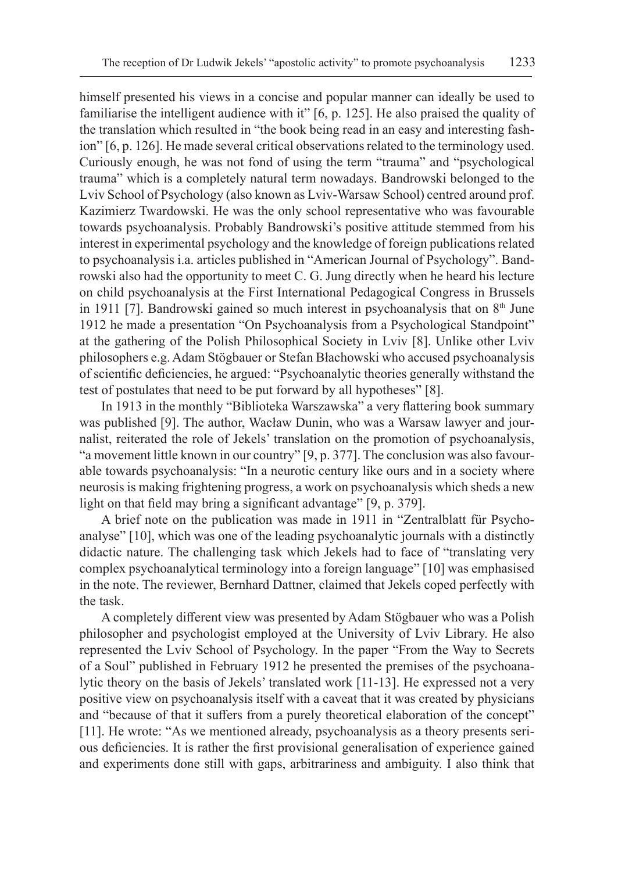himself presented his views in a concise and popular manner can ideally be used to familiarise the intelligent audience with it" [6, p. 125]. He also praised the quality of the translation which resulted in "the book being read in an easy and interesting fashion" [6, p. 126]. He made several critical observations related to the terminology used. Curiously enough, he was not fond of using the term "trauma" and "psychological trauma" which is a completely natural term nowadays. Bandrowski belonged to the Lviv School of Psychology (also known as Lviv-Warsaw School) centred around prof. Kazimierz Twardowski. He was the only school representative who was favourable towards psychoanalysis. Probably Bandrowski's positive attitude stemmed from his interest in experimental psychology and the knowledge of foreign publications related to psychoanalysis i.a. articles published in "American Journal of Psychology". Bandrowski also had the opportunity to meet C. G. Jung directly when he heard his lecture on child psychoanalysis at the First International Pedagogical Congress in Brussels in 1911 [7]. Bandrowski gained so much interest in psychoanalysis that on  $8<sup>th</sup>$  June 1912 he made a presentation "On Psychoanalysis from a Psychological Standpoint" at the gathering of the Polish Philosophical Society in Lviv [8]. Unlike other Lviv philosophers e.g. Adam Stögbauer or Stefan Błachowski who accused psychoanalysis of scientific deficiencies, he argued: "Psychoanalytic theories generally withstand the test of postulates that need to be put forward by all hypotheses" [8].

In 1913 in the monthly "Biblioteka Warszawska" a very flattering book summary was published [9]. The author, Wacław Dunin, who was a Warsaw lawyer and journalist, reiterated the role of Jekels' translation on the promotion of psychoanalysis, "a movement little known in our country" [9, p. 377]. The conclusion was also favourable towards psychoanalysis: "In a neurotic century like ours and in a society where neurosis is making frightening progress, a work on psychoanalysis which sheds a new light on that field may bring a significant advantage" [9, p. 379].

A brief note on the publication was made in 1911 in "Zentralblatt für Psychoanalyse" [10], which was one of the leading psychoanalytic journals with a distinctly didactic nature. The challenging task which Jekels had to face of "translating very complex psychoanalytical terminology into a foreign language" [10] was emphasised in the note. The reviewer, Bernhard Dattner, claimed that Jekels coped perfectly with the task.

A completely different view was presented by Adam Stögbauer who was a Polish philosopher and psychologist employed at the University of Lviv Library. He also represented the Lviv School of Psychology. In the paper "From the Way to Secrets of a Soul" published in February 1912 he presented the premises of the psychoanalytic theory on the basis of Jekels' translated work [11-13]. He expressed not a very positive view on psychoanalysis itself with a caveat that it was created by physicians and "because of that it suffers from a purely theoretical elaboration of the concept" [11]. He wrote: "As we mentioned already, psychoanalysis as a theory presents serious deficiencies. It is rather the first provisional generalisation of experience gained and experiments done still with gaps, arbitrariness and ambiguity. I also think that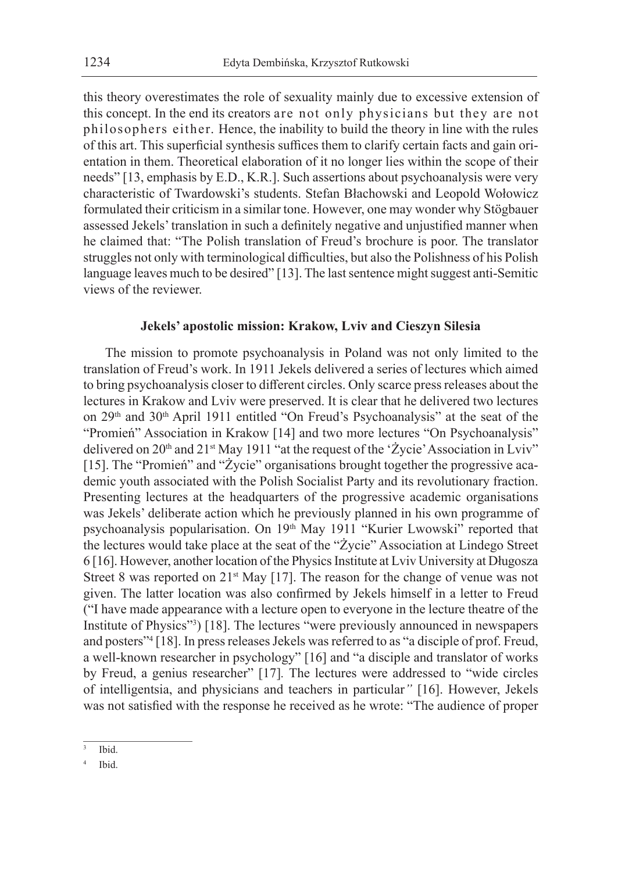this theory overestimates the role of sexuality mainly due to excessive extension of this concept. In the end its creators are not only physicians but they are not philosophers either. Hence, the inability to build the theory in line with the rules of this art. This superficial synthesis suffices them to clarify certain facts and gain orientation in them. Theoretical elaboration of it no longer lies within the scope of their needs" [13, emphasis by E.D., K.R.]. Such assertions about psychoanalysis were very characteristic of Twardowski's students. Stefan Błachowski and Leopold Wołowicz formulated their criticism in a similar tone. However, one may wonder why Stögbauer assessed Jekels' translation in such a definitely negative and unjustified manner when he claimed that: "The Polish translation of Freud's brochure is poor. The translator struggles not only with terminological difficulties, but also the Polishness of his Polish language leaves much to be desired" [13]. The last sentence might suggest anti-Semitic views of the reviewer.

#### **Jekels' apostolic mission: Krakow, Lviv and Cieszyn Silesia**

The mission to promote psychoanalysis in Poland was not only limited to the translation of Freud's work. In 1911 Jekels delivered a series of lectures which aimed to bring psychoanalysis closer to different circles. Only scarce press releases about the lectures in Krakow and Lviv were preserved. It is clear that he delivered two lectures on 29<sup>th</sup> and 30<sup>th</sup> April 1911 entitled "On Freud's Psychoanalysis" at the seat of the "Promień" Association in Krakow [14] and two more lectures "On Psychoanalysis" delivered on 20<sup>th</sup> and 21<sup>st</sup> May 1911 "at the request of the 'Życie' Association in Lviv" [15]. The "Promień" and "Życie" organisations brought together the progressive academic youth associated with the Polish Socialist Party and its revolutionary fraction. Presenting lectures at the headquarters of the progressive academic organisations was Jekels' deliberate action which he previously planned in his own programme of psychoanalysis popularisation. On 19<sup>th</sup> May 1911 "Kurier Lwowski" reported that the lectures would take place at the seat of the "Życie" Association at Lindego Street 6 [16]. However, another location of the Physics Institute at Lviv University at Długosza Street 8 was reported on  $21^{st}$  May [17]. The reason for the change of venue was not given. The latter location was also confirmed by Jekels himself in a letter to Freud ("I have made appearance with a lecture open to everyone in the lecture theatre of the Institute of Physics"<sup>3</sup> ) [18]. The lectures "were previously announced in newspapers and posters"<sup>4</sup> [18]. In press releases Jekels was referred to as "a disciple of prof. Freud, a well-known researcher in psychology" [16] and "a disciple and translator of works by Freud, a genius researcher" [17]*.* The lectures were addressed to "wide circles of intelligentsia, and physicians and teachers in particular*"* [16]. However, Jekels was not satisfied with the response he received as he wrote: "The audience of proper

Ibid.

Ibid.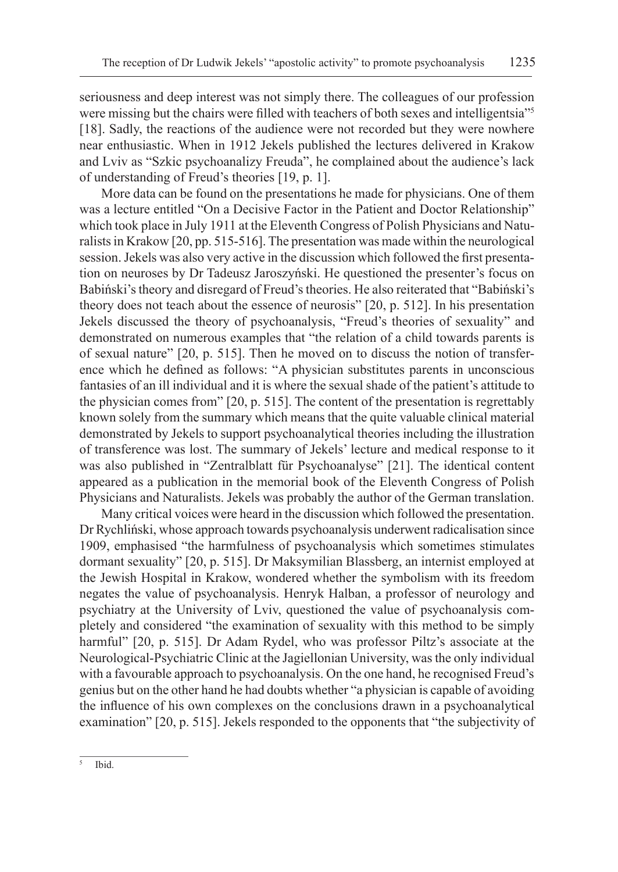seriousness and deep interest was not simply there. The colleagues of our profession were missing but the chairs were filled with teachers of both sexes and intelligentsia"<sup>5</sup> [18]. Sadly, the reactions of the audience were not recorded but they were nowhere near enthusiastic. When in 1912 Jekels published the lectures delivered in Krakow and Lviv as "Szkic psychoanalizy Freuda", he complained about the audience's lack of understanding of Freud's theories [19, p. 1].

More data can be found on the presentations he made for physicians. One of them was a lecture entitled "On a Decisive Factor in the Patient and Doctor Relationship" which took place in July 1911 at the Eleventh Congress of Polish Physicians and Naturalists in Krakow [20, pp. 515-516]. The presentation was made within the neurological session. Jekels was also very active in the discussion which followed the first presentation on neuroses by Dr Tadeusz Jaroszyński. He questioned the presenter's focus on Babiński's theory and disregard of Freud's theories. He also reiterated that "Babiński's theory does not teach about the essence of neurosis" [20, p. 512]. In his presentation Jekels discussed the theory of psychoanalysis, "Freud's theories of sexuality" and demonstrated on numerous examples that "the relation of a child towards parents is of sexual nature" [20, p. 515]. Then he moved on to discuss the notion of transference which he defined as follows: "A physician substitutes parents in unconscious fantasies of an ill individual and it is where the sexual shade of the patient's attitude to the physician comes from" [20, p. 515]. The content of the presentation is regrettably known solely from the summary which means that the quite valuable clinical material demonstrated by Jekels to support psychoanalytical theories including the illustration of transference was lost. The summary of Jekels' lecture and medical response to it was also published in "Zentralblatt für Psychoanalyse" [21]. The identical content appeared as a publication in the memorial book of the Eleventh Congress of Polish Physicians and Naturalists. Jekels was probably the author of the German translation.

Many critical voices were heard in the discussion which followed the presentation. Dr Rychliński, whose approach towards psychoanalysis underwent radicalisation since 1909, emphasised "the harmfulness of psychoanalysis which sometimes stimulates dormant sexuality" [20, p. 515]. Dr Maksymilian Blassberg, an internist employed at the Jewish Hospital in Krakow, wondered whether the symbolism with its freedom negates the value of psychoanalysis. Henryk Halban, a professor of neurology and psychiatry at the University of Lviv, questioned the value of psychoanalysis completely and considered "the examination of sexuality with this method to be simply harmful" [20, p. 515]. Dr Adam Rydel, who was professor Piltz's associate at the Neurological-Psychiatric Clinic at the Jagiellonian University, was the only individual with a favourable approach to psychoanalysis. On the one hand, he recognised Freud's genius but on the other hand he had doubts whether "a physician is capable of avoiding the influence of his own complexes on the conclusions drawn in a psychoanalytical examination" [20, p. 515]. Jekels responded to the opponents that "the subjectivity of

 $5$  Ibid.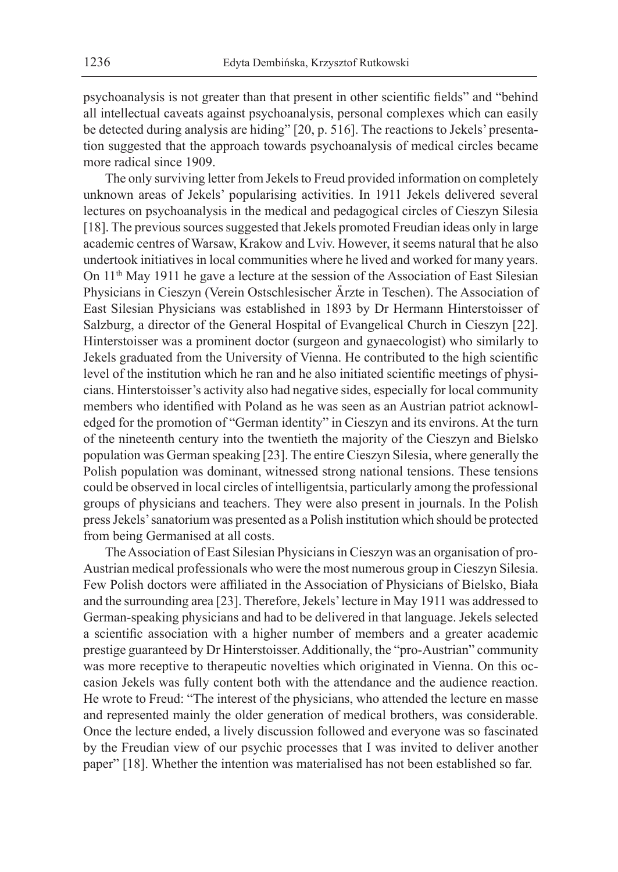psychoanalysis is not greater than that present in other scientific fields" and "behind all intellectual caveats against psychoanalysis, personal complexes which can easily be detected during analysis are hiding" [20, p. 516]. The reactions to Jekels' presentation suggested that the approach towards psychoanalysis of medical circles became more radical since 1909.

The only surviving letter from Jekels to Freud provided information on completely unknown areas of Jekels' popularising activities. In 1911 Jekels delivered several lectures on psychoanalysis in the medical and pedagogical circles of Cieszyn Silesia [18]. The previous sources suggested that Jekels promoted Freudian ideas only in large academic centres of Warsaw, Krakow and Lviv. However, it seems natural that he also undertook initiatives in local communities where he lived and worked for many years. On  $11<sup>th</sup>$  May 1911 he gave a lecture at the session of the Association of East Silesian Physicians in Cieszyn (Verein Ostschlesischer Ärzte in Teschen). The Association of East Silesian Physicians was established in 1893 by Dr Hermann Hinterstoisser of Salzburg, a director of the General Hospital of Evangelical Church in Cieszyn [22]. Hinterstoisser was a prominent doctor (surgeon and gynaecologist) who similarly to Jekels graduated from the University of Vienna. He contributed to the high scientific level of the institution which he ran and he also initiated scientific meetings of physicians. Hinterstoisser's activity also had negative sides, especially for local community members who identified with Poland as he was seen as an Austrian patriot acknowledged for the promotion of "German identity" in Cieszyn and its environs. At the turn of the nineteenth century into the twentieth the majority of the Cieszyn and Bielsko population was German speaking [23]. The entire Cieszyn Silesia, where generally the Polish population was dominant, witnessed strong national tensions. These tensions could be observed in local circles of intelligentsia, particularly among the professional groups of physicians and teachers. They were also present in journals. In the Polish press Jekels' sanatorium was presented as a Polish institution which should be protected from being Germanised at all costs.

The Association of East Silesian Physicians in Cieszyn was an organisation of pro-Austrian medical professionals who were the most numerous group in Cieszyn Silesia. Few Polish doctors were affiliated in the Association of Physicians of Bielsko, Biała and the surrounding area [23]. Therefore, Jekels' lecture in May 1911 was addressed to German-speaking physicians and had to be delivered in that language. Jekels selected a scientific association with a higher number of members and a greater academic prestige guaranteed by Dr Hinterstoisser. Additionally, the "pro-Austrian" community was more receptive to therapeutic novelties which originated in Vienna. On this occasion Jekels was fully content both with the attendance and the audience reaction. He wrote to Freud: "The interest of the physicians, who attended the lecture en masse and represented mainly the older generation of medical brothers, was considerable. Once the lecture ended, a lively discussion followed and everyone was so fascinated by the Freudian view of our psychic processes that I was invited to deliver another paper" [18]. Whether the intention was materialised has not been established so far.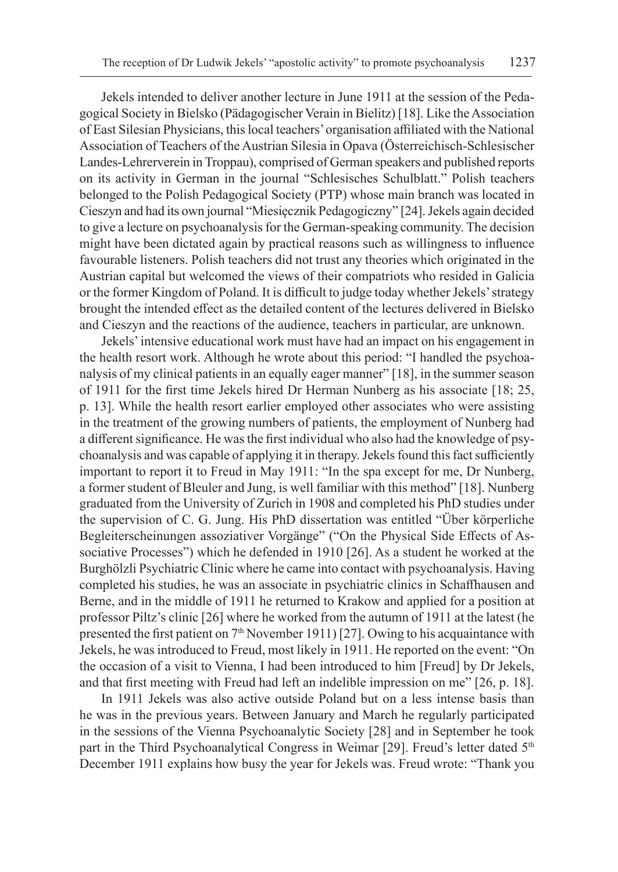Jekels intended to deliver another lecture in June 1911 at the session of the Pedagogical Society in Bielsko (Pädagogischer Verain in Bielitz) [18]. Like the Association of East Silesian Physicians, this local teachers' organisation affiliated with the National Association of Teachers of the Austrian Silesia in Opava (Österreichisch-Schlesischer Landes-Lehrerverein in Troppau), comprised of German speakers and published reports on its activity in German in the journal "Schlesisches Schulblatt." Polish teachers belonged to the Polish Pedagogical Society (PTP) whose main branch was located in Cieszyn and had its own journal "Miesięcznik Pedagogiczny" [24]. Jekels again decided to give a lecture on psychoanalysis for the German-speaking community. The decision might have been dictated again by practical reasons such as willingness to influence favourable listeners. Polish teachers did not trust any theories which originated in the Austrian capital but welcomed the views of their compatriots who resided in Galicia or the former Kingdom of Poland. It is difficult to judge today whether Jekels' strategy brought the intended effect as the detailed content of the lectures delivered in Bielsko and Cieszyn and the reactions of the audience, teachers in particular, are unknown.

Jekels' intensive educational work must have had an impact on his engagement in the health resort work. Although he wrote about this period: "I handled the psychoanalysis of my clinical patients in an equally eager manner" [18], in the summer season of 1911 for the first time Jekels hired Dr Herman Nunberg as his associate [18; 25, p. 13]. While the health resort earlier employed other associates who were assisting in the treatment of the growing numbers of patients, the employment of Nunberg had a different significance. He was the first individual who also had the knowledge of psychoanalysis and was capable of applying it in therapy. Jekels found this fact sufficiently important to report it to Freud in May 1911: "In the spa except for me, Dr Nunberg, a former student of Bleuler and Jung, is well familiar with this method" [18]. Nunberg graduated from the University of Zurich in 1908 and completed his PhD studies under the supervision of C. G. Jung. His PhD dissertation was entitled "Über körperliche Begleiterscheinungen assoziativer Vorgänge" ("On the Physical Side Effects of Associative Processes") which he defended in 1910 [26]. As a student he worked at the Burghölzli Psychiatric Clinic where he came into contact with psychoanalysis. Having completed his studies, he was an associate in psychiatric clinics in Schaffhausen and Berne, and in the middle of 1911 he returned to Krakow and applied for a position at professor Piltz's clinic [26] where he worked from the autumn of 1911 at the latest (he presented the first patient on  $7<sup>th</sup>$  November 1911) [27]. Owing to his acquaintance with Jekels, he was introduced to Freud, most likely in 1911. He reported on the event: "On the occasion of a visit to Vienna, I had been introduced to him [Freud] by Dr Jekels, and that first meeting with Freud had left an indelible impression on me" [26, p. 18].

In 1911 Jekels was also active outside Poland but on a less intense basis than he was in the previous years. Between January and March he regularly participated in the sessions of the Vienna Psychoanalytic Society [28] and in September he took part in the Third Psychoanalytical Congress in Weimar [29]. Freud's letter dated 5<sup>th</sup> December 1911 explains how busy the year for Jekels was. Freud wrote: "Thank you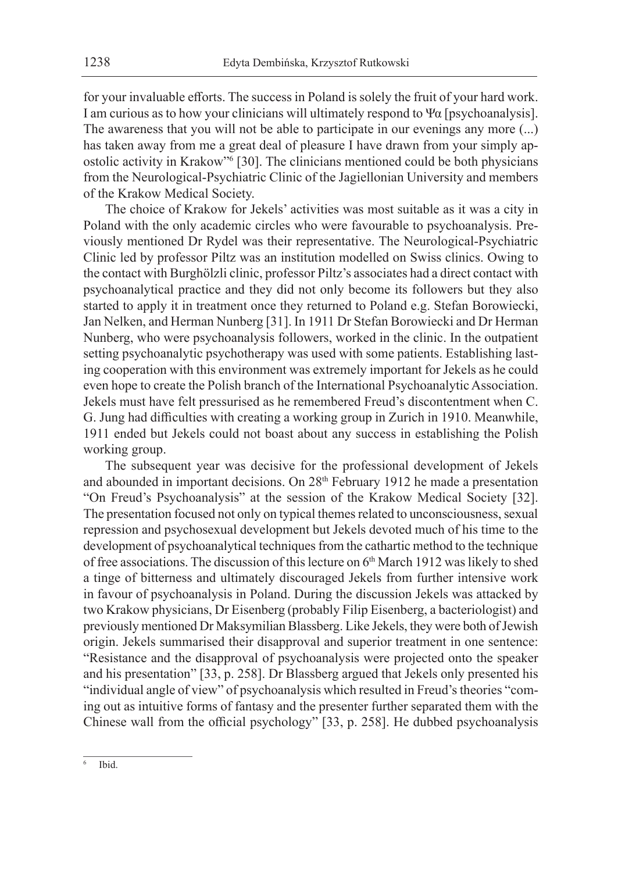for your invaluable efforts. The success in Poland is solely the fruit of your hard work. I am curious as to how your clinicians will ultimately respond to Ψα [psychoanalysis]. The awareness that you will not be able to participate in our evenings any more (...) has taken away from me a great deal of pleasure I have drawn from your simply apostolic activity in Krakow"<sup>6</sup> [30]. The clinicians mentioned could be both physicians from the Neurological-Psychiatric Clinic of the Jagiellonian University and members of the Krakow Medical Society.

The choice of Krakow for Jekels' activities was most suitable as it was a city in Poland with the only academic circles who were favourable to psychoanalysis. Previously mentioned Dr Rydel was their representative. The Neurological-Psychiatric Clinic led by professor Piltz was an institution modelled on Swiss clinics. Owing to the contact with Burghölzli clinic, professor Piltz's associates had a direct contact with psychoanalytical practice and they did not only become its followers but they also started to apply it in treatment once they returned to Poland e.g. Stefan Borowiecki, Jan Nelken, and Herman Nunberg [31]. In 1911 Dr Stefan Borowiecki and Dr Herman Nunberg, who were psychoanalysis followers, worked in the clinic. In the outpatient setting psychoanalytic psychotherapy was used with some patients. Establishing lasting cooperation with this environment was extremely important for Jekels as he could even hope to create the Polish branch of the International Psychoanalytic Association. Jekels must have felt pressurised as he remembered Freud's discontentment when C. G. Jung had difficulties with creating a working group in Zurich in 1910. Meanwhile, 1911 ended but Jekels could not boast about any success in establishing the Polish working group.

The subsequent year was decisive for the professional development of Jekels and abounded in important decisions. On 28<sup>th</sup> February 1912 he made a presentation "On Freud's Psychoanalysis" at the session of the Krakow Medical Society [32]. The presentation focused not only on typical themes related to unconsciousness, sexual repression and psychosexual development but Jekels devoted much of his time to the development of psychoanalytical techniques from the cathartic method to the technique of free associations. The discussion of this lecture on 6<sup>th</sup> March 1912 was likely to shed a tinge of bitterness and ultimately discouraged Jekels from further intensive work in favour of psychoanalysis in Poland. During the discussion Jekels was attacked by two Krakow physicians, Dr Eisenberg (probably Filip Eisenberg, a bacteriologist) and previously mentioned Dr Maksymilian Blassberg. Like Jekels, they were both of Jewish origin. Jekels summarised their disapproval and superior treatment in one sentence: "Resistance and the disapproval of psychoanalysis were projected onto the speaker and his presentation" [33, p. 258]. Dr Blassberg argued that Jekels only presented his "individual angle of view" of psychoanalysis which resulted in Freud's theories "coming out as intuitive forms of fantasy and the presenter further separated them with the Chinese wall from the official psychology" [33, p. 258]. He dubbed psychoanalysis

 $6$  Ibid.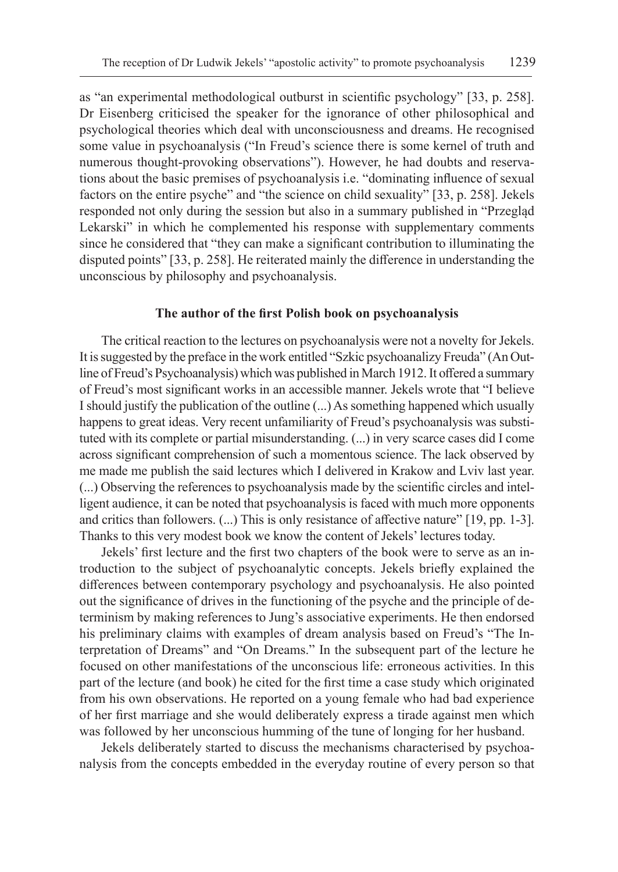as "an experimental methodological outburst in scientific psychology" [33, p. 258]. Dr Eisenberg criticised the speaker for the ignorance of other philosophical and psychological theories which deal with unconsciousness and dreams. He recognised some value in psychoanalysis ("In Freud's science there is some kernel of truth and numerous thought-provoking observations"). However, he had doubts and reservations about the basic premises of psychoanalysis i.e. "dominating influence of sexual factors on the entire psyche" and "the science on child sexuality" [33, p. 258]. Jekels responded not only during the session but also in a summary published in "Przegląd Lekarski" in which he complemented his response with supplementary comments since he considered that "they can make a significant contribution to illuminating the disputed points" [33, p. 258]. He reiterated mainly the difference in understanding the unconscious by philosophy and psychoanalysis.

#### **The author of the first Polish book on psychoanalysis**

The critical reaction to the lectures on psychoanalysis were not a novelty for Jekels. It is suggested by the preface in the work entitled "Szkic psychoanalizy Freuda" (AnOutline of Freud's Psychoanalysis) which was published in March 1912. It offered a summary of Freud's most significant works in an accessible manner. Jekels wrote that "I believe Ishould justify the publication of the outline (...) As something happened which usually happens to great ideas. Very recent unfamiliarity of Freud's psychoanalysis was substituted with its complete or partial misunderstanding. (...) in very scarce cases did I come across significant comprehension of such a momentous science. The lack observed by me made me publish the said lectures which I delivered in Krakow and Lviv last year. (...) Observing the references to psychoanalysis made by the scientific circles and intelligent audience, it can be noted that psychoanalysis is faced with much more opponents and critics than followers. (...) This is only resistance of affective nature" [19, pp. 1-3]. Thanks to this very modest book we know the content of Jekels' lectures today.

Jekels' first lecture and the first two chapters of the book were to serve as an introduction to the subject of psychoanalytic concepts. Jekels briefly explained the differences between contemporary psychology and psychoanalysis. He also pointed out the significance of drives in the functioning of the psyche and the principle of determinism by making references to Jung's associative experiments. He then endorsed his preliminary claims with examples of dream analysis based on Freud's "The Interpretation of Dreams" and "On Dreams." In the subsequent part of the lecture he focused on other manifestations of the unconscious life: erroneous activities. In this part of the lecture (and book) he cited for the first time a case study which originated from his own observations. He reported on a young female who had bad experience of her first marriage and she would deliberately express a tirade against men which was followed by her unconscious humming of the tune of longing for her husband.

Jekels deliberately started to discuss the mechanisms characterised by psychoanalysis from the concepts embedded in the everyday routine of every person so that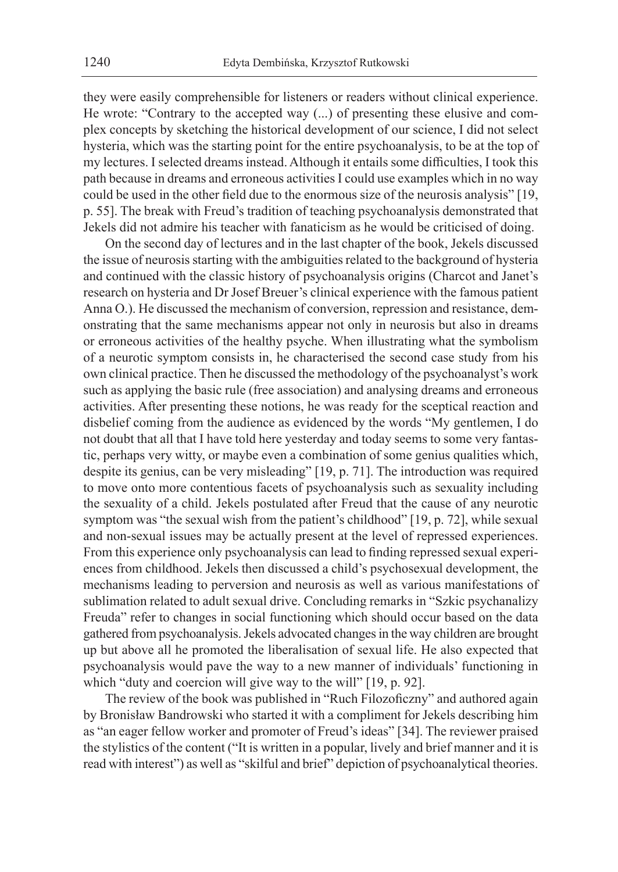they were easily comprehensible for listeners or readers without clinical experience. He wrote: "Contrary to the accepted way (...) of presenting these elusive and complex concepts by sketching the historical development of our science, I did not select hysteria, which was the starting point for the entire psychoanalysis, to be at the top of my lectures. I selected dreams instead. Although it entails some difficulties, I took this path because in dreams and erroneous activities I could use examples which in no way could be used in the other field due to the enormous size of the neurosis analysis" [19, p. 55]. The break with Freud's tradition of teaching psychoanalysis demonstrated that Jekels did not admire his teacher with fanaticism as he would be criticised of doing.

On the second day of lectures and in the last chapter of the book, Jekels discussed the issue of neurosis starting with the ambiguities related to the background of hysteria and continued with the classic history of psychoanalysis origins (Charcot and Janet's research on hysteria and Dr Josef Breuer's clinical experience with the famous patient Anna O.). He discussed the mechanism of conversion, repression and resistance, demonstrating that the same mechanisms appear not only in neurosis but also in dreams or erroneous activities of the healthy psyche. When illustrating what the symbolism of a neurotic symptom consists in, he characterised the second case study from his own clinical practice. Then he discussed the methodology of the psychoanalyst's work such as applying the basic rule (free association) and analysing dreams and erroneous activities. After presenting these notions, he was ready for the sceptical reaction and disbelief coming from the audience as evidenced by the words "My gentlemen, I do not doubt that all that I have told here yesterday and today seems to some very fantastic, perhaps very witty, or maybe even a combination of some genius qualities which, despite its genius, can be very misleading" [19, p. 71]. The introduction was required to move onto more contentious facets of psychoanalysis such as sexuality including the sexuality of a child. Jekels postulated after Freud that the cause of any neurotic symptom was "the sexual wish from the patient's childhood" [19, p. 72], while sexual and non-sexual issues may be actually present at the level of repressed experiences. From this experience only psychoanalysis can lead to finding repressed sexual experiences from childhood. Jekels then discussed a child's psychosexual development, the mechanisms leading to perversion and neurosis as well as various manifestations of sublimation related to adult sexual drive. Concluding remarks in "Szkic psychanalizy Freuda" refer to changes in social functioning which should occur based on the data gathered from psychoanalysis. Jekels advocated changes in the way children are brought up but above all he promoted the liberalisation of sexual life. He also expected that psychoanalysis would pave the way to a new manner of individuals' functioning in which "duty and coercion will give way to the will" [19, p. 92].

The review of the book was published in "Ruch Filozoficzny" and authored again by Bronisław Bandrowski who started it with a compliment for Jekels describing him as "an eager fellow worker and promoter of Freud's ideas" [34]. The reviewer praised the stylistics of the content ("It is written in a popular, lively and brief manner and it is read with interest") as well as "skilful and brief" depiction of psychoanalytical theories.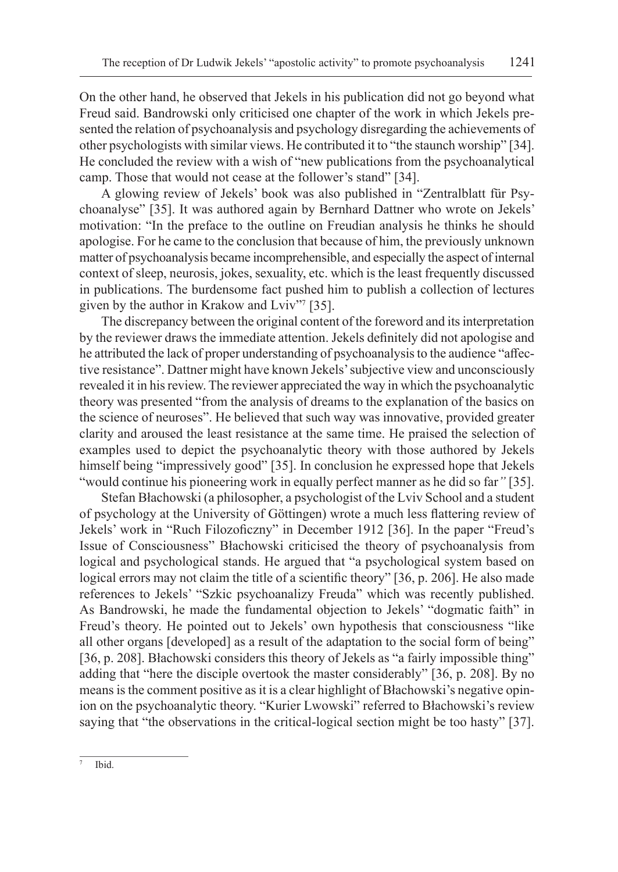On the other hand, he observed that Jekels in his publication did not go beyond what Freud said. Bandrowski only criticised one chapter of the work in which Jekels presented the relation of psychoanalysis and psychology disregarding the achievements of other psychologists with similar views. He contributed it to "the staunch worship" [34]. He concluded the review with a wish of "new publications from the psychoanalytical camp. Those that would not cease at the follower's stand" [34].

A glowing review of Jekels' book was also published in "Zentralblatt für Psychoanalyse" [35]. It was authored again by Bernhard Dattner who wrote on Jekels' motivation: "In the preface to the outline on Freudian analysis he thinks he should apologise. For he came to the conclusion that because of him, the previously unknown matter of psychoanalysis became incomprehensible, and especially the aspect of internal context of sleep, neurosis, jokes, sexuality, etc. which is the least frequently discussed in publications. The burdensome fact pushed him to publish a collection of lectures given by the author in Krakow and Lviv"<sup>7</sup> [35].

The discrepancy between the original content of the foreword and its interpretation by the reviewer draws the immediate attention. Jekels definitely did not apologise and he attributed the lack of proper understanding of psychoanalysis to the audience "affective resistance". Dattner might have known Jekels' subjective view and unconsciously revealed it in his review. The reviewer appreciated the way in which the psychoanalytic theory was presented "from the analysis of dreams to the explanation of the basics on the science of neuroses". He believed that such way was innovative, provided greater clarity and aroused the least resistance at the same time. He praised the selection of examples used to depict the psychoanalytic theory with those authored by Jekels himself being "impressively good" [35]. In conclusion he expressed hope that Jekels "would continue his pioneering work in equally perfect manner as he did so far*"* [35].

Stefan Błachowski (a philosopher, a psychologist of the Lviv School and a student of psychology at the University of Göttingen) wrote a much less flattering review of Jekels' work in "Ruch Filozoficzny" in December 1912 [36]. In the paper "Freud's Issue of Consciousness" Błachowski criticised the theory of psychoanalysis from logical and psychological stands. He argued that "a psychological system based on logical errors may not claim the title of a scientific theory" [36, p. 206]. He also made references to Jekels' "Szkic psychoanalizy Freuda" which was recently published. As Bandrowski, he made the fundamental objection to Jekels' "dogmatic faith" in Freud's theory. He pointed out to Jekels' own hypothesis that consciousness "like all other organs [developed] as a result of the adaptation to the social form of being" [36, p. 208]. Błachowski considers this theory of Jekels as "a fairly impossible thing" adding that "here the disciple overtook the master considerably" [36, p. 208]. By no means is the comment positive as it is a clear highlight of Błachowski's negative opinion on the psychoanalytic theory. "Kurier Lwowski" referred to Błachowski's review saying that "the observations in the critical-logical section might be too hasty" [37].

 $7$  Ibid.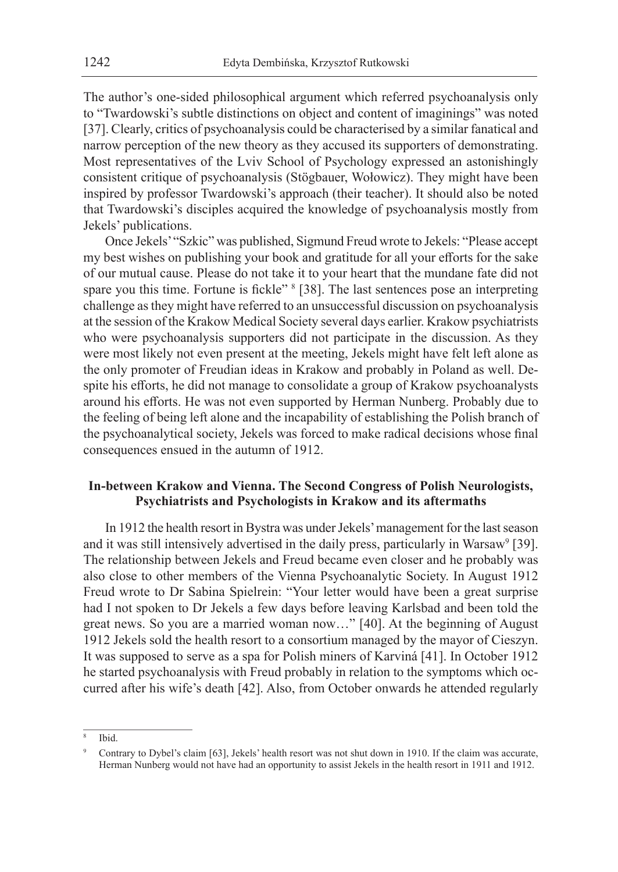The author's one-sided philosophical argument which referred psychoanalysis only to "Twardowski's subtle distinctions on object and content of imaginings" was noted [37]. Clearly, critics of psychoanalysis could be characterised by a similar fanatical and narrow perception of the new theory as they accused its supporters of demonstrating. Most representatives of the Lviv School of Psychology expressed an astonishingly consistent critique of psychoanalysis (Stögbauer, Wołowicz). They might have been inspired by professor Twardowski's approach (their teacher). It should also be noted that Twardowski's disciples acquired the knowledge of psychoanalysis mostly from Jekels' publications.

Once Jekels' "Szkic" was published, Sigmund Freud wrote to Jekels: "Please accept my best wishes on publishing your book and gratitude for all your efforts for the sake of our mutual cause. Please do not take it to your heart that the mundane fate did not spare you this time. Fortune is fickle" <sup>8</sup> [38]. The last sentences pose an interpreting challenge as they might have referred to an unsuccessful discussion on psychoanalysis at the session of the Krakow Medical Society several days earlier. Krakow psychiatrists who were psychoanalysis supporters did not participate in the discussion. As they were most likely not even present at the meeting, Jekels might have felt left alone as the only promoter of Freudian ideas in Krakow and probably in Poland as well. Despite his efforts, he did not manage to consolidate a group of Krakow psychoanalysts around his efforts. He was not even supported by Herman Nunberg. Probably due to the feeling of being left alone and the incapability of establishing the Polish branch of the psychoanalytical society, Jekels was forced to make radical decisions whose final consequences ensued in the autumn of 1912.

## **In-between Krakow and Vienna. The Second Congress of Polish Neurologists, Psychiatrists and Psychologists in Krakow and its aftermaths**

In 1912 the health resort in Bystra was under Jekels' management for the last season and it was still intensively advertised in the daily press, particularly in Warsaw<sup>9</sup> [39]. The relationship between Jekels and Freud became even closer and he probably was also close to other members of the Vienna Psychoanalytic Society. In August 1912 Freud wrote to Dr Sabina Spielrein: "Your letter would have been a great surprise had I not spoken to Dr Jekels a few days before leaving Karlsbad and been told the great news. So you are a married woman now…" [40]. At the beginning of August 1912 Jekels sold the health resort to a consortium managed by the mayor of Cieszyn. It was supposed to serve as a spa for Polish miners of Karviná [41]. In October 1912 he started psychoanalysis with Freud probably in relation to the symptoms which occurred after his wife's death [42]. Also, from October onwards he attended regularly

Ibid.

<sup>9</sup> Contrary to Dybel's claim [63], Jekels' health resort was not shut down in 1910. If the claim was accurate, Herman Nunberg would not have had an opportunity to assist Jekels in the health resort in 1911 and 1912.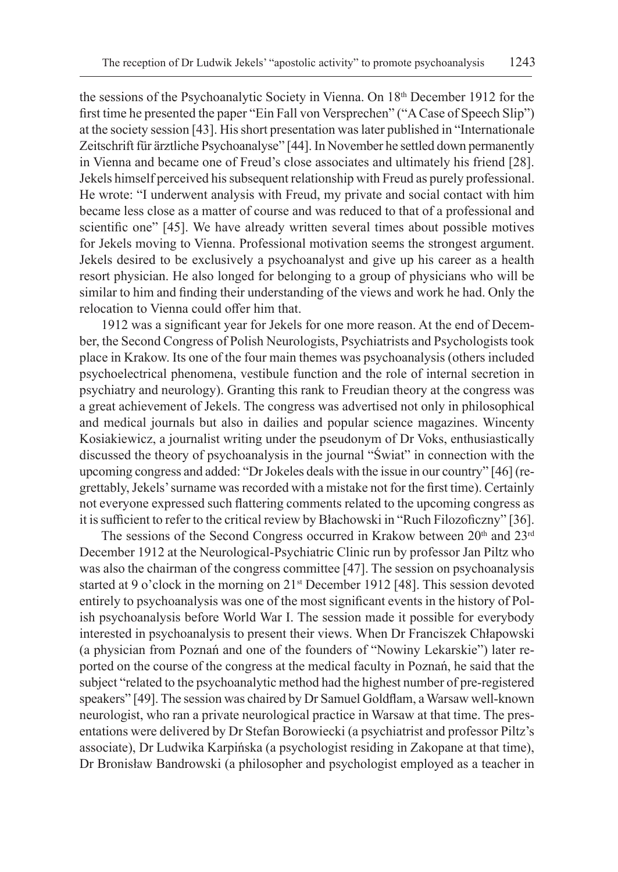the sessions of the Psychoanalytic Society in Vienna. On 18th December 1912 for the first time he presented the paper "Ein Fall von Versprechen" ("A Case of Speech Slip") at the society session [43]. His short presentation was later published in "Internationale Zeitschrift für ärztliche Psychoanalyse" [44]. In November he settled down permanently in Vienna and became one of Freud's close associates and ultimately his friend [28]. Jekels himself perceived his subsequent relationship with Freud as purely professional. He wrote: "I underwent analysis with Freud, my private and social contact with him became less close as a matter of course and was reduced to that of a professional and scientific one" [45]. We have already written several times about possible motives for Jekels moving to Vienna. Professional motivation seems the strongest argument. Jekels desired to be exclusively a psychoanalyst and give up his career as a health resort physician. He also longed for belonging to a group of physicians who will be similar to him and finding their understanding of the views and work he had. Only the relocation to Vienna could offer him that.

1912 was a significant year for Jekels for one more reason. At the end of December, the Second Congress of Polish Neurologists, Psychiatrists and Psychologists took place in Krakow. Its one of the four main themes was psychoanalysis (others included psychoelectrical phenomena, vestibule function and the role of internal secretion in psychiatry and neurology). Granting this rank to Freudian theory at the congress was a great achievement of Jekels. The congress was advertised not only in philosophical and medical journals but also in dailies and popular science magazines. Wincenty Kosiakiewicz, a journalist writing under the pseudonym of Dr Voks, enthusiastically discussed the theory of psychoanalysis in the journal "Świat" in connection with the upcoming congress and added: "Dr Jokeles deals with the issue in our country" [46] (regrettably, Jekels' surname was recorded with a mistake not for the first time). Certainly not everyone expressed such flattering comments related to the upcoming congress as it is sufficient to refer to the critical review by Błachowski in "Ruch Filozoficzny" [36].

The sessions of the Second Congress occurred in Krakow between 20<sup>th</sup> and 23<sup>rd</sup> December 1912 at the Neurological-Psychiatric Clinic run by professor Jan Piltz who was also the chairman of the congress committee [47]. The session on psychoanalysis started at 9 o'clock in the morning on  $21<sup>st</sup>$  December 1912 [48]. This session devoted entirely to psychoanalysis was one of the most significant events in the history of Polish psychoanalysis before World War I. The session made it possible for everybody interested in psychoanalysis to present their views. When Dr Franciszek Chłapowski (a physician from Poznań and one of the founders of "Nowiny Lekarskie") later reported on the course of the congress at the medical faculty in Poznań, he said that the subject "related to the psychoanalytic method had the highest number of pre-registered speakers" [49]. The session was chaired by Dr Samuel Goldflam, a Warsaw well-known neurologist, who ran a private neurological practice in Warsaw at that time. The presentations were delivered by Dr Stefan Borowiecki (a psychiatrist and professor Piltz's associate), Dr Ludwika Karpińska (a psychologist residing in Zakopane at that time), Dr Bronisław Bandrowski (a philosopher and psychologist employed as a teacher in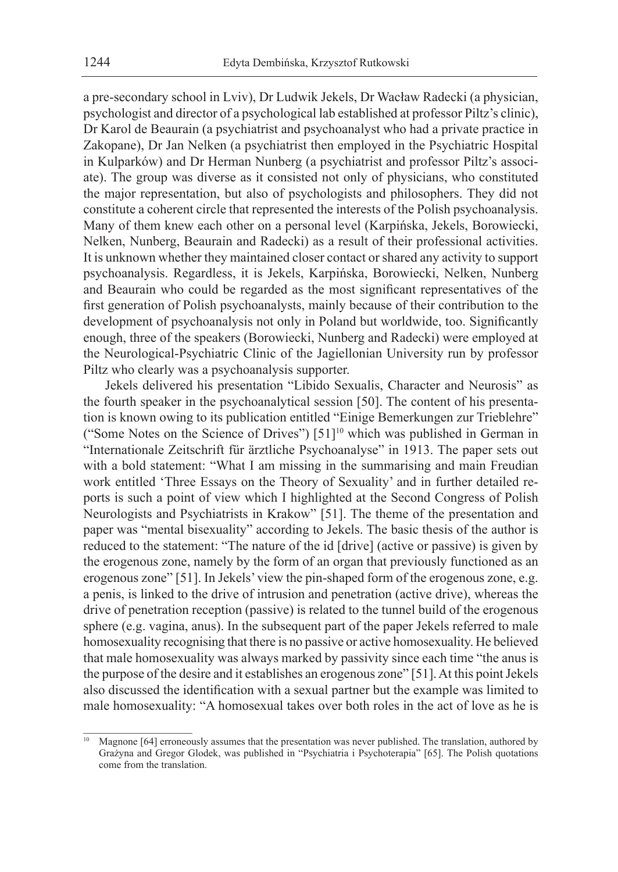a pre-secondary school in Lviv), Dr Ludwik Jekels, Dr Wacław Radecki (a physician, psychologist and director of a psychological lab established at professor Piltz's clinic), Dr Karol de Beaurain (a psychiatrist and psychoanalyst who had a private practice in Zakopane), Dr Jan Nelken (a psychiatrist then employed in the Psychiatric Hospital in Kulparków) and Dr Herman Nunberg (a psychiatrist and professor Piltz's associate). The group was diverse as it consisted not only of physicians, who constituted the major representation, but also of psychologists and philosophers. They did not constitute a coherent circle that represented the interests of the Polish psychoanalysis. Many of them knew each other on a personal level (Karpińska, Jekels, Borowiecki, Nelken, Nunberg, Beaurain and Radecki) as a result of their professional activities. It is unknown whether they maintained closer contact or shared any activity to support psychoanalysis. Regardless, it is Jekels, Karpińska, Borowiecki, Nelken, Nunberg and Beaurain who could be regarded as the most significant representatives of the first generation of Polish psychoanalysts, mainly because of their contribution to the development of psychoanalysis not only in Poland but worldwide, too. Significantly enough, three of the speakers (Borowiecki, Nunberg and Radecki) were employed at the Neurological-Psychiatric Clinic of the Jagiellonian University run by professor Piltz who clearly was a psychoanalysis supporter.

Jekels delivered his presentation "Libido Sexualis, Character and Neurosis" as the fourth speaker in the psychoanalytical session [50]. The content of his presentation is known owing to its publication entitled "Einige Bemerkungen zur Trieblehre" ("Some Notes on the Science of Drives") [51]<sup>10</sup> which was published in German in "Internationale Zeitschrift für ärztliche Psychoanalyse" in 1913. The paper sets out with a bold statement: "What I am missing in the summarising and main Freudian work entitled 'Three Essays on the Theory of Sexuality' and in further detailed reports is such a point of view which I highlighted at the Second Congress of Polish Neurologists and Psychiatrists in Krakow" [51]. The theme of the presentation and paper was "mental bisexuality" according to Jekels. The basic thesis of the author is reduced to the statement: "The nature of the id [drive] (active or passive) is given by the erogenous zone, namely by the form of an organ that previously functioned as an erogenous zone" [51]. In Jekels' view the pin-shaped form of the erogenous zone, e.g. a penis, is linked to the drive of intrusion and penetration (active drive), whereas the drive of penetration reception (passive) is related to the tunnel build of the erogenous sphere (e.g. vagina, anus). In the subsequent part of the paper Jekels referred to male homosexuality recognising that there is no passive or active homosexuality. He believed that male homosexuality was always marked by passivity since each time "the anus is the purpose of the desire and it establishes an erogenous zone" [51]. At this point Jekels also discussed the identification with a sexual partner but the example was limited to male homosexuality: "A homosexual takes over both roles in the act of love as he is

Magnone [64] erroneously assumes that the presentation was never published. The translation, authored by Grażyna and Gregor Glodek, was published in "Psychiatria i Psychoterapia" [65]. The Polish quotations come from the translation.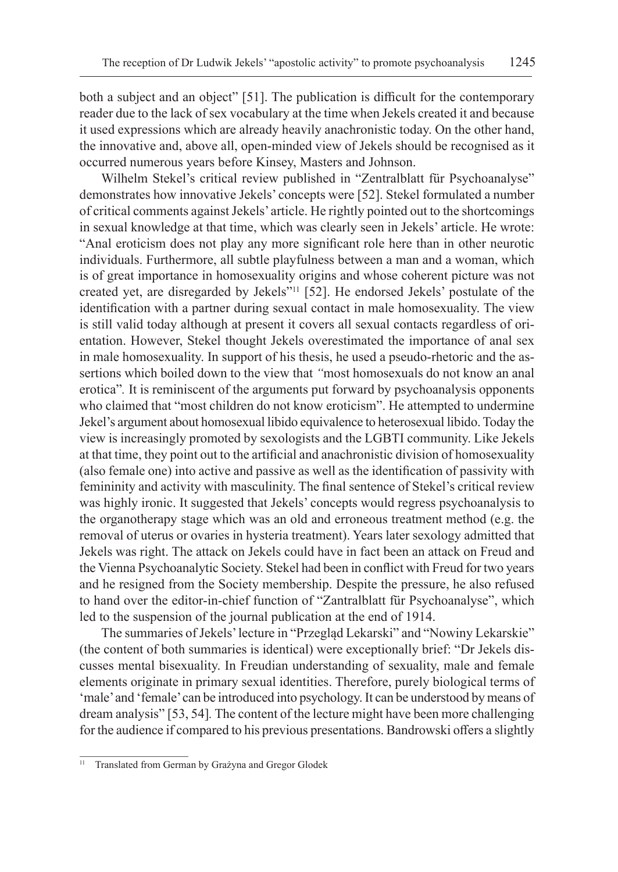both a subject and an object" [51]. The publication is difficult for the contemporary reader due to the lack of sex vocabulary at the time when Jekels created it and because it used expressions which are already heavily anachronistic today. On the other hand, the innovative and, above all, open-minded view of Jekels should be recognised as it occurred numerous years before Kinsey, Masters and Johnson.

Wilhelm Stekel's critical review published in "Zentralblatt für Psychoanalyse" demonstrates how innovative Jekels' concepts were [52]. Stekel formulated a number of critical comments against Jekels' article. He rightly pointed out to the shortcomings in sexual knowledge at that time, which was clearly seen in Jekels' article. He wrote: "Anal eroticism does not play any more significant role here than in other neurotic individuals. Furthermore, all subtle playfulness between a man and a woman, which is of great importance in homosexuality origins and whose coherent picture was not created yet, are disregarded by Jekels"<sup>11</sup> [52]. He endorsed Jekels' postulate of the identification with a partner during sexual contact in male homosexuality. The view is still valid today although at present it covers all sexual contacts regardless of orientation. However, Stekel thought Jekels overestimated the importance of anal sex in male homosexuality. In support of his thesis, he used a pseudo-rhetoric and the assertions which boiled down to the view that *"*most homosexuals do not know an anal erotica"*.* It is reminiscent of the arguments put forward by psychoanalysis opponents who claimed that "most children do not know eroticism". He attempted to undermine Jekel's argument about homosexual libido equivalence to heterosexual libido. Today the view is increasingly promoted by sexologists and the LGBTI community. Like Jekels at that time, they point out to the artificial and anachronistic division of homosexuality (also female one) into active and passive as well as the identification of passivity with femininity and activity with masculinity. The final sentence of Stekel's critical review was highly ironic. It suggested that Jekels' concepts would regress psychoanalysis to the organotherapy stage which was an old and erroneous treatment method (e.g. the removal of uterus or ovaries in hysteria treatment). Years later sexology admitted that Jekels was right. The attack on Jekels could have in fact been an attack on Freud and the Vienna Psychoanalytic Society. Stekel had been in conflict with Freud for two years and he resigned from the Society membership. Despite the pressure, he also refused to hand over the editor-in-chief function of "Zantralblatt für Psychoanalyse", which led to the suspension of the journal publication at the end of 1914.

The summaries of Jekels' lecture in "Przegląd Lekarski" and "Nowiny Lekarskie" (the content of both summaries is identical) were exceptionally brief: "Dr Jekels discusses mental bisexuality. In Freudian understanding of sexuality, male and female elements originate in primary sexual identities. Therefore, purely biological terms of 'male' and 'female' can be introduced into psychology. It can be understood by means of dream analysis" [53, 54]*.* The content of the lecture might have been more challenging for the audience if compared to his previous presentations. Bandrowski offers a slightly

<sup>&</sup>lt;sup>11</sup> Translated from German by Grażyna and Gregor Glodek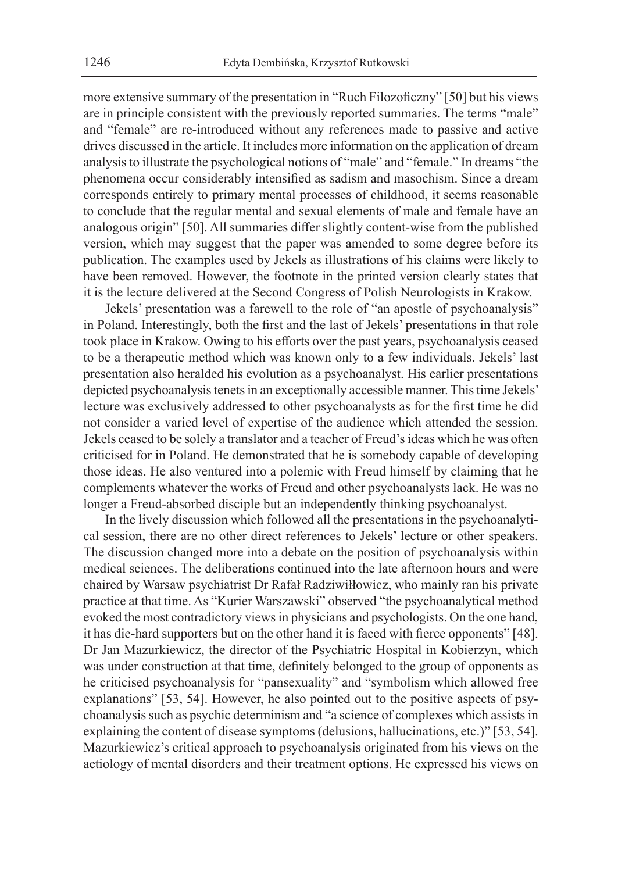more extensive summary of the presentation in "Ruch Filozoficzny" [50] but his views are in principle consistent with the previously reported summaries. The terms "male" and "female" are re-introduced without any references made to passive and active drives discussed in the article. It includes more information on the application of dream analysis to illustrate the psychological notions of "male" and "female." In dreams "the phenomena occur considerably intensified as sadism and masochism. Since a dream corresponds entirely to primary mental processes of childhood, it seems reasonable to conclude that the regular mental and sexual elements of male and female have an analogous origin" [50]. All summaries differ slightly content-wise from the published version, which may suggest that the paper was amended to some degree before its publication. The examples used by Jekels as illustrations of his claims were likely to have been removed. However, the footnote in the printed version clearly states that it is the lecture delivered at the Second Congress of Polish Neurologists in Krakow.

Jekels' presentation was a farewell to the role of "an apostle of psychoanalysis" in Poland. Interestingly, both the first and the last of Jekels' presentations in that role took place in Krakow. Owing to his efforts over the past years, psychoanalysis ceased to be a therapeutic method which was known only to a few individuals. Jekels' last presentation also heralded his evolution as a psychoanalyst. His earlier presentations depicted psychoanalysis tenets in an exceptionally accessible manner. This time Jekels' lecture was exclusively addressed to other psychoanalysts as for the first time he did not consider a varied level of expertise of the audience which attended the session. Jekels ceased to be solely a translator and a teacher of Freud's ideas which he was often criticised for in Poland. He demonstrated that he is somebody capable of developing those ideas. He also ventured into a polemic with Freud himself by claiming that he complements whatever the works of Freud and other psychoanalysts lack. He was no longer a Freud-absorbed disciple but an independently thinking psychoanalyst.

In the lively discussion which followed all the presentations in the psychoanalytical session, there are no other direct references to Jekels' lecture or other speakers. The discussion changed more into a debate on the position of psychoanalysis within medical sciences. The deliberations continued into the late afternoon hours and were chaired by Warsaw psychiatrist Dr Rafał Radziwiłłowicz, who mainly ran his private practice at that time. As "Kurier Warszawski" observed "the psychoanalytical method evoked the most contradictory views in physicians and psychologists. On the one hand, it has die-hard supporters but on the other hand it is faced with fierce opponents" [48]. Dr Jan Mazurkiewicz, the director of the Psychiatric Hospital in Kobierzyn, which was under construction at that time, definitely belonged to the group of opponents as he criticised psychoanalysis for "pansexuality" and "symbolism which allowed free explanations" [53, 54]. However, he also pointed out to the positive aspects of psychoanalysis such as psychic determinism and "a science of complexes which assists in explaining the content of disease symptoms (delusions, hallucinations, etc.)" [53, 54]. Mazurkiewicz's critical approach to psychoanalysis originated from his views on the aetiology of mental disorders and their treatment options. He expressed his views on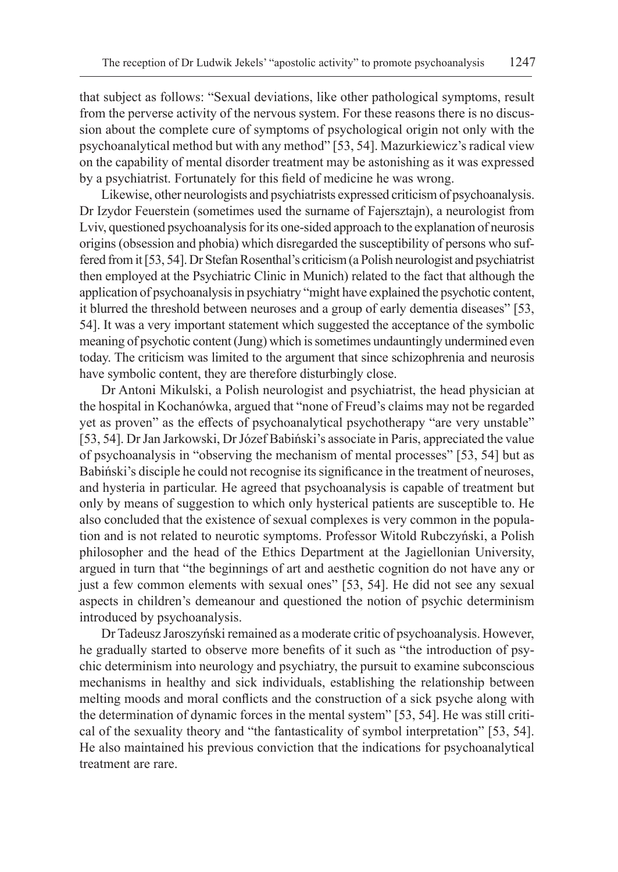that subject as follows: "Sexual deviations, like other pathological symptoms, result from the perverse activity of the nervous system. For these reasons there is no discussion about the complete cure of symptoms of psychological origin not only with the psychoanalytical method but with any method" [53, 54]. Mazurkiewicz's radical view on the capability of mental disorder treatment may be astonishing as it was expressed by a psychiatrist. Fortunately for this field of medicine he was wrong.

Likewise, other neurologists and psychiatrists expressed criticism of psychoanalysis. Dr Izydor Feuerstein (sometimes used the surname of Fajersztajn), a neurologist from Lviv, questioned psychoanalysis for its one-sided approach to the explanation of neurosis origins (obsession and phobia) which disregarded the susceptibility of persons who suffered from it [53, 54]. Dr Stefan Rosenthal's criticism (a Polish neurologist and psychiatrist then employed at the Psychiatric Clinic in Munich) related to the fact that although the application of psychoanalysis in psychiatry "might have explained the psychotic content, it blurred the threshold between neuroses and a group of early dementia diseases" [53, 54]. It was a very important statement which suggested the acceptance of the symbolic meaning of psychotic content (Jung) which is sometimes undauntingly undermined even today. The criticism was limited to the argument that since schizophrenia and neurosis have symbolic content, they are therefore disturbingly close.

Dr Antoni Mikulski, a Polish neurologist and psychiatrist, the head physician at the hospital in Kochanówka, argued that "none of Freud's claims may not be regarded yet as proven" as the effects of psychoanalytical psychotherapy "are very unstable" [53, 54]. Dr Jan Jarkowski, Dr Józef Babiński's associate in Paris, appreciated the value of psychoanalysis in "observing the mechanism of mental processes" [53, 54] but as Babiński's disciple he could not recognise its significance in the treatment of neuroses, and hysteria in particular. He agreed that psychoanalysis is capable of treatment but only by means of suggestion to which only hysterical patients are susceptible to. He also concluded that the existence of sexual complexes is very common in the population and is not related to neurotic symptoms. Professor Witold Rubczyński, a Polish philosopher and the head of the Ethics Department at the Jagiellonian University, argued in turn that "the beginnings of art and aesthetic cognition do not have any or just a few common elements with sexual ones" [53, 54]. He did not see any sexual aspects in children's demeanour and questioned the notion of psychic determinism introduced by psychoanalysis.

Dr Tadeusz Jaroszyński remained as a moderate critic of psychoanalysis. However, he gradually started to observe more benefits of it such as "the introduction of psychic determinism into neurology and psychiatry, the pursuit to examine subconscious mechanisms in healthy and sick individuals, establishing the relationship between melting moods and moral conflicts and the construction of a sick psyche along with the determination of dynamic forces in the mental system" [53, 54]. He was still critical of the sexuality theory and "the fantasticality of symbol interpretation" [53, 54]. He also maintained his previous conviction that the indications for psychoanalytical treatment are rare.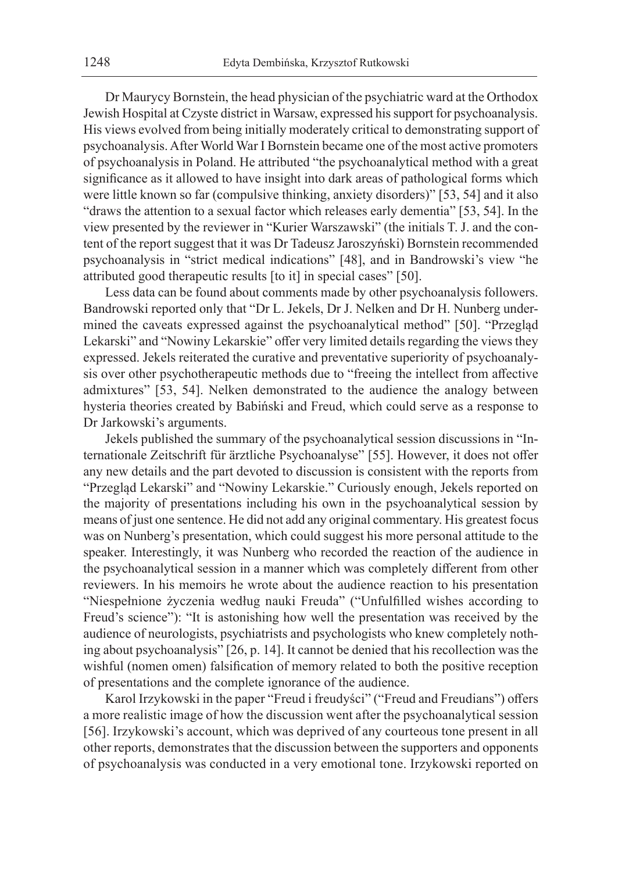Dr Maurycy Bornstein, the head physician of the psychiatric ward at the Orthodox Jewish Hospital at Czyste district in Warsaw, expressed his support for psychoanalysis. His views evolved from being initially moderately critical to demonstrating support of psychoanalysis. After World War I Bornstein became one of the most active promoters of psychoanalysis in Poland. He attributed "the psychoanalytical method with a great significance as it allowed to have insight into dark areas of pathological forms which were little known so far (compulsive thinking, anxiety disorders)" [53, 54] and it also "draws the attention to a sexual factor which releases early dementia" [53, 54]. In the view presented by the reviewer in "Kurier Warszawski" (the initials T. J. and the content of the report suggest that it was Dr Tadeusz Jaroszyński) Bornstein recommended psychoanalysis in "strict medical indications" [48], and in Bandrowski's view "he attributed good therapeutic results [to it] in special cases" [50].

Less data can be found about comments made by other psychoanalysis followers. Bandrowski reported only that "Dr L. Jekels, Dr J. Nelken and Dr H. Nunberg undermined the caveats expressed against the psychoanalytical method" [50]. "Przegląd Lekarski" and "Nowiny Lekarskie" offer very limited details regarding the views they expressed. Jekels reiterated the curative and preventative superiority of psychoanalysis over other psychotherapeutic methods due to "freeing the intellect from affective admixtures" [53, 54]. Nelken demonstrated to the audience the analogy between hysteria theories created by Babiński and Freud, which could serve as a response to Dr Jarkowski's arguments.

Jekels published the summary of the psychoanalytical session discussions in "Internationale Zeitschrift für ärztliche Psychoanalyse" [55]. However, it does not offer any new details and the part devoted to discussion is consistent with the reports from "Przegląd Lekarski" and "Nowiny Lekarskie." Curiously enough, Jekels reported on the majority of presentations including his own in the psychoanalytical session by means of just one sentence. He did not add any original commentary. His greatest focus was on Nunberg's presentation, which could suggest his more personal attitude to the speaker. Interestingly, it was Nunberg who recorded the reaction of the audience in the psychoanalytical session in a manner which was completely different from other reviewers. In his memoirs he wrote about the audience reaction to his presentation "Niespełnione życzenia według nauki Freuda" ("Unfulfilled wishes according to Freud's science"): "It is astonishing how well the presentation was received by the audience of neurologists, psychiatrists and psychologists who knew completely nothing about psychoanalysis" [26, p. 14]. It cannot be denied that his recollection was the wishful (nomen omen) falsification of memory related to both the positive reception of presentations and the complete ignorance of the audience.

Karol Irzykowski in the paper "Freud i freudyści" ("Freud and Freudians") offers a more realistic image of how the discussion went after the psychoanalytical session [56]. Irzykowski's account, which was deprived of any courteous tone present in all other reports, demonstrates that the discussion between the supporters and opponents of psychoanalysis was conducted in a very emotional tone. Irzykowski reported on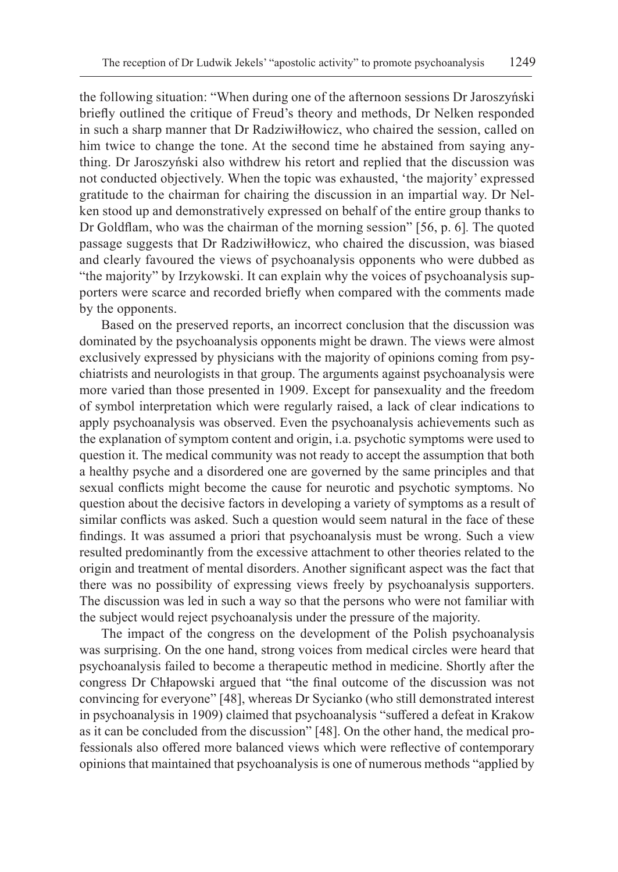the following situation: "When during one of the afternoon sessions Dr Jaroszyński briefly outlined the critique of Freud's theory and methods, Dr Nelken responded in such a sharp manner that Dr Radziwiłłowicz, who chaired the session, called on him twice to change the tone. At the second time he abstained from saying anything. Dr Jaroszyński also withdrew his retort and replied that the discussion was not conducted objectively. When the topic was exhausted, 'the majority' expressed gratitude to the chairman for chairing the discussion in an impartial way. Dr Nelken stood up and demonstratively expressed on behalf of the entire group thanks to Dr Goldflam, who was the chairman of the morning session" [56, p. 6]*.* The quoted passage suggests that Dr Radziwiłłowicz, who chaired the discussion, was biased and clearly favoured the views of psychoanalysis opponents who were dubbed as "the majority" by Irzykowski. It can explain why the voices of psychoanalysis supporters were scarce and recorded briefly when compared with the comments made by the opponents.

Based on the preserved reports, an incorrect conclusion that the discussion was dominated by the psychoanalysis opponents might be drawn. The views were almost exclusively expressed by physicians with the majority of opinions coming from psychiatrists and neurologists in that group. The arguments against psychoanalysis were more varied than those presented in 1909. Except for pansexuality and the freedom of symbol interpretation which were regularly raised, a lack of clear indications to apply psychoanalysis was observed. Even the psychoanalysis achievements such as the explanation of symptom content and origin, i.a. psychotic symptoms were used to question it. The medical community was not ready to accept the assumption that both a healthy psyche and a disordered one are governed by the same principles and that sexual conflicts might become the cause for neurotic and psychotic symptoms. No question about the decisive factors in developing a variety of symptoms as a result of similar conflicts was asked. Such a question would seem natural in the face of these findings. It was assumed a priori that psychoanalysis must be wrong. Such a view resulted predominantly from the excessive attachment to other theories related to the origin and treatment of mental disorders. Another significant aspect was the fact that there was no possibility of expressing views freely by psychoanalysis supporters. The discussion was led in such a way so that the persons who were not familiar with the subject would reject psychoanalysis under the pressure of the majority.

The impact of the congress on the development of the Polish psychoanalysis was surprising. On the one hand, strong voices from medical circles were heard that psychoanalysis failed to become a therapeutic method in medicine. Shortly after the congress Dr Chłapowski argued that "the final outcome of the discussion was not convincing for everyone" [48], whereas Dr Sycianko (who still demonstrated interest in psychoanalysis in 1909) claimed that psychoanalysis "suffered a defeat in Krakow as it can be concluded from the discussion" [48]. On the other hand, the medical professionals also offered more balanced views which were reflective of contemporary opinions that maintained that psychoanalysis is one of numerous methods "applied by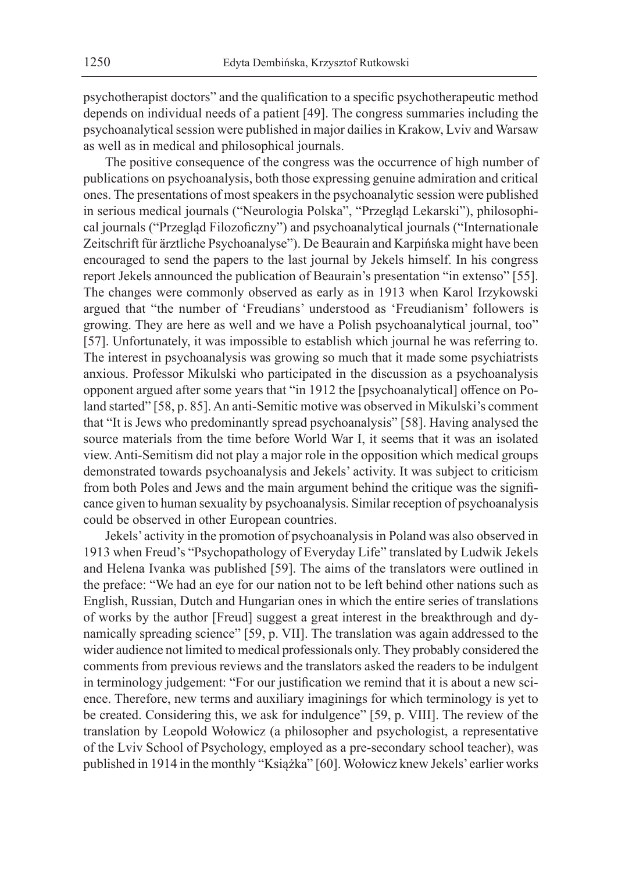psychotherapist doctors" and the qualification to a specific psychotherapeutic method depends on individual needs of a patient [49]. The congress summaries including the psychoanalytical session were published in major dailies in Krakow, Lviv and Warsaw as well as in medical and philosophical journals.

The positive consequence of the congress was the occurrence of high number of publications on psychoanalysis, both those expressing genuine admiration and critical ones. The presentations of most speakers in the psychoanalytic session were published in serious medical journals ("Neurologia Polska", "Przegląd Lekarski"), philosophical journals ("Przegląd Filozoficzny") and psychoanalytical journals ("Internationale Zeitschrift für ärztliche Psychoanalyse"). De Beaurain and Karpińska might have been encouraged to send the papers to the last journal by Jekels himself. In his congress report Jekels announced the publication of Beaurain's presentation "in extenso" [55]. The changes were commonly observed as early as in 1913 when Karol Irzykowski argued that "the number of 'Freudians' understood as 'Freudianism' followers is growing. They are here as well and we have a Polish psychoanalytical journal, too" [57]. Unfortunately, it was impossible to establish which journal he was referring to. The interest in psychoanalysis was growing so much that it made some psychiatrists anxious. Professor Mikulski who participated in the discussion as a psychoanalysis opponent argued after some years that "in 1912 the [psychoanalytical] offence on Poland started" [58, p. 85]. An anti-Semitic motive was observed in Mikulski's comment that "It is Jews who predominantly spread psychoanalysis" [58]. Having analysed the source materials from the time before World War I, it seems that it was an isolated view. Anti-Semitism did not play a major role in the opposition which medical groups demonstrated towards psychoanalysis and Jekels' activity. It was subject to criticism from both Poles and Jews and the main argument behind the critique was the significance given to human sexuality by psychoanalysis. Similar reception of psychoanalysis could be observed in other European countries.

Jekels' activity in the promotion of psychoanalysis in Poland was also observed in 1913 when Freud's "Psychopathology of Everyday Life" translated by Ludwik Jekels and Helena Ivanka was published [59]. The aims of the translators were outlined in the preface: "We had an eye for our nation not to be left behind other nations such as English, Russian, Dutch and Hungarian ones in which the entire series of translations of works by the author [Freud] suggest a great interest in the breakthrough and dynamically spreading science" [59, p. VII]. The translation was again addressed to the wider audience not limited to medical professionals only. They probably considered the comments from previous reviews and the translators asked the readers to be indulgent in terminology judgement: "For our justification we remind that it is about a new science. Therefore, new terms and auxiliary imaginings for which terminology is yet to be created. Considering this, we ask for indulgence" [59, p. VIII]. The review of the translation by Leopold Wołowicz (a philosopher and psychologist, a representative of the Lviv School of Psychology, employed as a pre-secondary school teacher), was published in 1914 in the monthly "Książka" [60]. Wołowicz knew Jekels' earlier works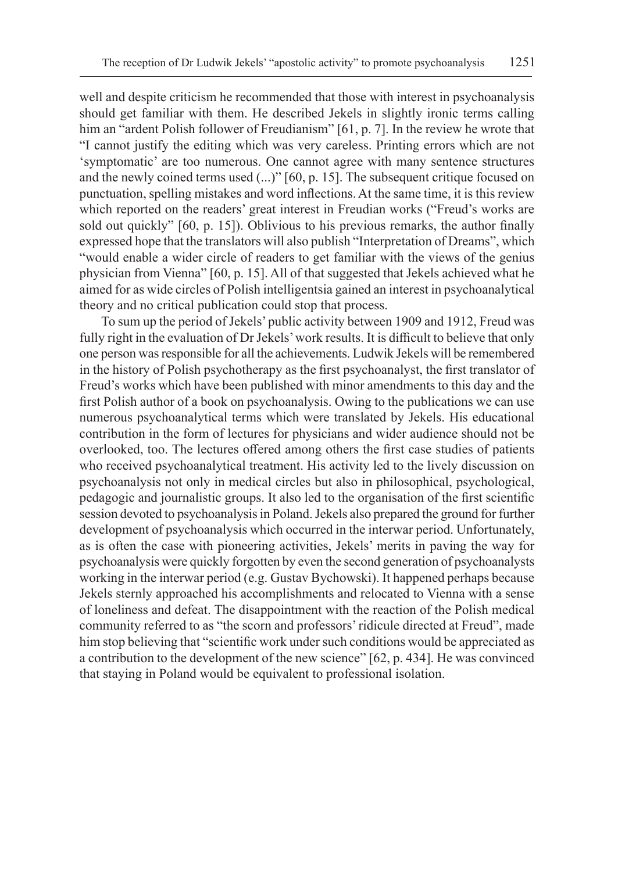well and despite criticism he recommended that those with interest in psychoanalysis should get familiar with them. He described Jekels in slightly ironic terms calling him an "ardent Polish follower of Freudianism" [61, p. 7]. In the review he wrote that "I cannot justify the editing which was very careless. Printing errors which are not 'symptomatic' are too numerous. One cannot agree with many sentence structures and the newly coined terms used (...)" [60, p. 15]. The subsequent critique focused on punctuation, spelling mistakes and word inflections. At the same time, it is this review which reported on the readers' great interest in Freudian works ("Freud's works are sold out quickly" [60, p. 15]). Oblivious to his previous remarks, the author finally expressed hope that the translators will also publish "Interpretation of Dreams", which "would enable a wider circle of readers to get familiar with the views of the genius physician from Vienna" [60, p. 15]. All of that suggested that Jekels achieved what he aimed for as wide circles of Polish intelligentsia gained an interest in psychoanalytical theory and no critical publication could stop that process.

To sum up the period of Jekels' public activity between 1909 and 1912, Freud was fully right in the evaluation of Dr Jekels' work results. It is difficult to believe that only one person was responsible for all the achievements. Ludwik Jekels will be remembered in the history of Polish psychotherapy as the first psychoanalyst, the first translator of Freud's works which have been published with minor amendments to this day and the first Polish author of a book on psychoanalysis. Owing to the publications we can use numerous psychoanalytical terms which were translated by Jekels. His educational contribution in the form of lectures for physicians and wider audience should not be overlooked, too. The lectures offered among others the first case studies of patients who received psychoanalytical treatment. His activity led to the lively discussion on psychoanalysis not only in medical circles but also in philosophical, psychological, pedagogic and journalistic groups. It also led to the organisation of the first scientific session devoted to psychoanalysis in Poland. Jekels also prepared the ground for further development of psychoanalysis which occurred in the interwar period. Unfortunately, as is often the case with pioneering activities, Jekels' merits in paving the way for psychoanalysis were quickly forgotten by even the second generation of psychoanalysts working in the interwar period (e.g. Gustav Bychowski). It happened perhaps because Jekels sternly approached his accomplishments and relocated to Vienna with a sense of loneliness and defeat. The disappointment with the reaction of the Polish medical community referred to as "the scorn and professors' ridicule directed at Freud", made him stop believing that "scientific work under such conditions would be appreciated as a contribution to the development of the new science" [62, p. 434]. He was convinced that staying in Poland would be equivalent to professional isolation.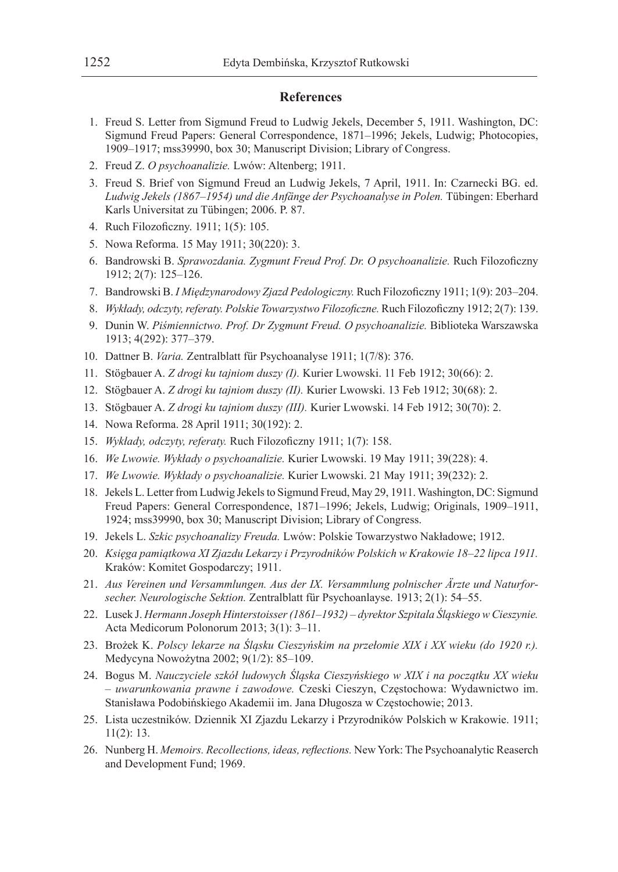#### **References**

- 1. Freud S. Letter from Sigmund Freud to Ludwig Jekels, December 5, 1911. Washington, DC: Sigmund Freud Papers: General Correspondence, 1871–1996; Jekels, Ludwig; Photocopies, 1909–1917; mss39990, box 30; Manuscript Division; Library of Congress.
- 2. Freud Z. *O psychoanalizie.* Lwów: Altenberg; 1911.
- 3. Freud S. Brief von Sigmund Freud an Ludwig Jekels, 7 April, 1911. In: Czarnecki BG. ed. *Ludwig Jekels (1867–1954) und die Anfänge der Psychoanalyse in Polen.* Tübingen: Eberhard Karls Universitat zu Tübingen; 2006. P. 87.
- 4. Ruch Filozoficzny. 1911; 1(5): 105.
- 5. Nowa Reforma. 15 May 1911; 30(220): 3.
- 6. Bandrowski B. *Sprawozdania. Zygmunt Freud Prof. Dr. O psychoanalizie.* Ruch Filozoficzny 1912; 2(7): 125–126.
- 7. Bandrowski B. *I Międzynarodowy Zjazd Pedologiczny.* Ruch Filozoficzny 1911; 1(9): 203–204.
- 8. *Wykłady, odczyty, referaty. Polskie Towarzystwo Filozoficzne.* Ruch Filozoficzny 1912; 2(7): 139.
- 9. Dunin W. *Piśmiennictwo. Prof. Dr Zygmunt Freud. O psychoanalizie.* Biblioteka Warszawska 1913; 4(292): 377–379.
- 10. Dattner B. *Varia.* Zentralblatt für Psychoanalyse 1911; 1(7/8): 376.
- 11. Stögbauer A. *Z drogi ku tajniom duszy (I).* Kurier Lwowski. 11 Feb 1912; 30(66): 2.
- 12. Stögbauer A. *Z drogi ku tajniom duszy (II).* Kurier Lwowski. 13 Feb 1912; 30(68): 2.
- 13. Stögbauer A. *Z drogi ku tajniom duszy (III).* Kurier Lwowski. 14 Feb 1912; 30(70): 2.
- 14. Nowa Reforma. 28 April 1911; 30(192): 2.
- 15. *Wykłady, odczyty, referaty.* Ruch Filozoficzny 1911; 1(7): 158.
- 16. *We Lwowie. Wykłady o psychoanalizie.* Kurier Lwowski. 19 May 1911; 39(228): 4.
- 17. *We Lwowie. Wykłady o psychoanalizie.* Kurier Lwowski. 21 May 1911; 39(232): 2.
- 18. Jekels L. Letter from Ludwig Jekels to Sigmund Freud, May 29, 1911. Washington, DC: Sigmund Freud Papers: General Correspondence, 1871–1996; Jekels, Ludwig; Originals, 1909–1911, 1924; mss39990, box 30; Manuscript Division; Library of Congress.
- 19. Jekels L. *Szkic psychoanalizy Freuda.* Lwów: Polskie Towarzystwo Nakładowe; 1912.
- 20. *Księga pamiątkowa XI Zjazdu Lekarzy i Przyrodników Polskich w Krakowie 18–22 lipca 1911.* Kraków: Komitet Gospodarczy; 1911.
- 21. *Aus Vereinen und Versammlungen. Aus der IX. Versammlung polnischer Ärzte und Naturforsecher. Neurologische Sektion.* Zentralblatt für Psychoanlayse. 1913; 2(1): 54–55.
- 22. Lusek J. *Hermann Joseph Hinterstoisser (1861–1932) dyrektor Szpitala Śląskiego w Cieszynie.* Acta Medicorum Polonorum 2013; 3(1): 3–11.
- 23. Brożek K. *Polscy lekarze na Śląsku Cieszyńskim na przełomie XIX i XX wieku (do 1920 r.).*  Medycyna Nowożytna 2002; 9(1/2): 85–109.
- 24. Bogus M. *Nauczyciele szkół ludowych Śląska Cieszyńskiego w XIX i na początku XX wieku – uwarunkowania prawne i zawodowe.* Czeski Cieszyn, Częstochowa: Wydawnictwo im. Stanisława Podobińskiego Akademii im. Jana Długosza w Częstochowie; 2013.
- 25. Lista uczestników. Dziennik XI Zjazdu Lekarzy i Przyrodników Polskich w Krakowie. 1911; 11(2): 13.
- 26. Nunberg H. *Memoirs. Recollections, ideas, reflections.* New York: The Psychoanalytic Reaserch and Development Fund; 1969.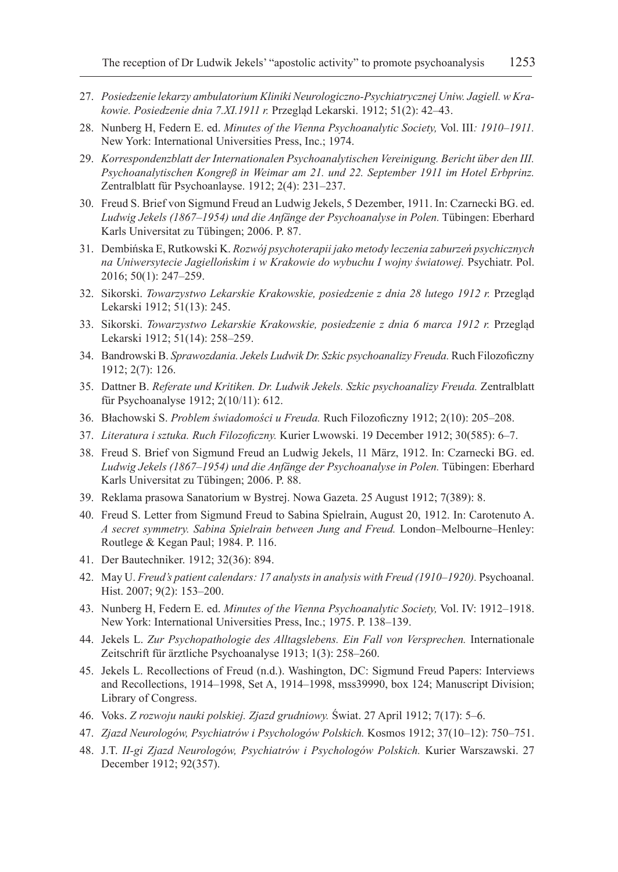- 27. *Posiedzenie lekarzy ambulatorium Kliniki Neurologiczno-Psychiatrycznej Uniw. Jagiell. wKrakowie. Posiedzenie dnia 7.XI.1911 r.* Przegląd Lekarski. 1912; 51(2): 42–43.
- 28. Nunberg H, Federn E. ed. *Minutes of the Vienna Psychoanalytic Society,* Vol. III*: 1910–1911.* New York: International Universities Press, Inc.; 1974.
- 29. *Korrespondenzblatt der Internationalen Psychoanalytischen Vereinigung. Bericht über den III. Psychoanalytischen Kongreß in Weimar am 21. und 22. September 1911 im Hotel Erbprinz.* Zentralblatt für Psychoanlayse. 1912; 2(4): 231–237.
- 30. Freud S. Brief von Sigmund Freud an Ludwig Jekels, 5 Dezember, 1911. In: Czarnecki BG. ed. *Ludwig Jekels (1867–1954) und die Anfänge der Psychoanalyse in Polen.* Tübingen: Eberhard Karls Universitat zu Tübingen; 2006. P. 87.
- 31. Dembińska E, Rutkowski K. *Rozwój psychoterapii jako metody leczenia zaburzeń psychicznych na Uniwersytecie Jagiellońskim i w Krakowie do wybuchu I wojny światowej.* Psychiatr. Pol. 2016; 50(1): 247–259.
- 32. Sikorski. *Towarzystwo Lekarskie Krakowskie, posiedzenie z dnia 28 lutego 1912 r.* Przegląd Lekarski 1912; 51(13): 245.
- 33. Sikorski. *Towarzystwo Lekarskie Krakowskie, posiedzenie z dnia 6 marca 1912 r.* Przegląd Lekarski 1912; 51(14): 258–259.
- 34. Bandrowski B. *Sprawozdania. Jekels Ludwik Dr. Szkic psychoanalizy Freuda.* Ruch Filozoficzny 1912; 2(7): 126.
- 35. Dattner B. *Referate und Kritiken. Dr. Ludwik Jekels. Szkic psychoanalizy Freuda.* Zentralblatt für Psychoanalyse 1912; 2(10/11): 612.
- 36. Błachowski S. *Problem świadomości u Freuda.* Ruch Filozoficzny 1912; 2(10): 205–208.
- 37. *Literatura i sztuka. Ruch Filozoficzny.* Kurier Lwowski. 19 December 1912; 30(585): 6–7.
- 38. Freud S. Brief von Sigmund Freud an Ludwig Jekels, 11 März, 1912. In: Czarnecki BG. ed. *Ludwig Jekels (1867–1954) und die Anfänge der Psychoanalyse in Polen.* Tübingen: Eberhard Karls Universitat zu Tübingen; 2006. P. 88.
- 39. Reklama prasowa Sanatorium w Bystrej. Nowa Gazeta. 25 August 1912; 7(389): 8.
- 40. Freud S. Letter from Sigmund Freud to Sabina Spielrain, August 20, 1912. In: Carotenuto A. *A secret symmetry. Sabina Spielrain between Jung and Freud.* London–Melbourne–Henley: Routlege & Kegan Paul; 1984. P. 116.
- 41. Der Bautechniker. 1912; 32(36): 894.
- 42. May U. *Freud's patient calendars: 17 analysts in analysis with Freud (1910–1920).* Psychoanal. Hist. 2007; 9(2): 153–200.
- 43. Nunberg H, Federn E. ed. *Minutes of the Vienna Psychoanalytic Society,* Vol. IV: 1912–1918. New York: International Universities Press, Inc.; 1975. P. 138–139.
- 44. Jekels L. *Zur Psychopathologie des Alltagslebens. Ein Fall von Versprechen.* Internationale Zeitschrift für ärztliche Psychoanalyse 1913; 1(3): 258–260.
- 45. Jekels L. Recollections of Freud (n.d.). Washington, DC: Sigmund Freud Papers: Interviews and Recollections, 1914–1998, Set A, 1914–1998, mss39990, box 124; Manuscript Division; Library of Congress.
- 46. Voks. *Z rozwoju nauki polskiej. Zjazd grudniowy.* Świat. 27 April 1912; 7(17): 5–6.
- 47. *Zjazd Neurologów, Psychiatrów i Psychologów Polskich.* Kosmos 1912; 37(10–12): 750–751.
- 48. J.T. *II-gi Zjazd Neurologów, Psychiatrów i Psychologów Polskich.* Kurier Warszawski. 27 December 1912; 92(357).